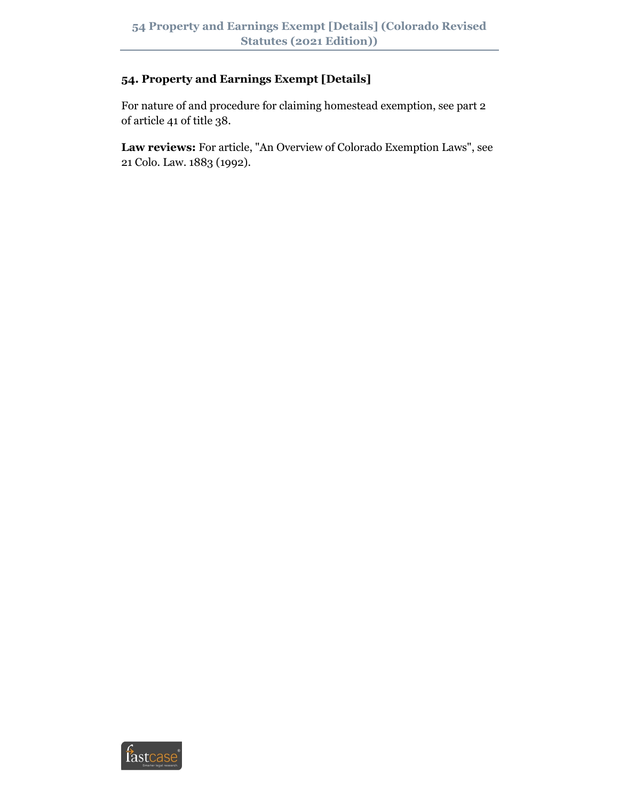# **54. Property and Earnings Exempt [Details]**

For nature of and procedure for claiming homestead exemption, see part 2 of article 41 of title 38.

**Law reviews:** For article, "An Overview of Colorado Exemption Laws", see 21 Colo. Law. 1883 (1992).

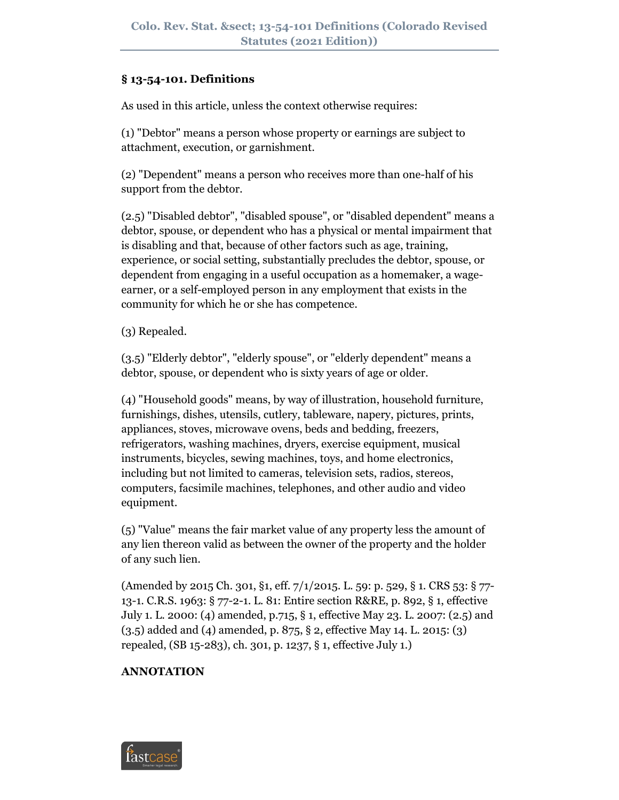#### **§ 13-54-101. Definitions**

As used in this article, unless the context otherwise requires:

(1) "Debtor" means a person whose property or earnings are subject to attachment, execution, or garnishment.

(2) "Dependent" means a person who receives more than one-half of his support from the debtor.

(2.5) "Disabled debtor", "disabled spouse", or "disabled dependent" means a debtor, spouse, or dependent who has a physical or mental impairment that is disabling and that, because of other factors such as age, training, experience, or social setting, substantially precludes the debtor, spouse, or dependent from engaging in a useful occupation as a homemaker, a wageearner, or a self-employed person in any employment that exists in the community for which he or she has competence.

(3) Repealed.

(3.5) "Elderly debtor", "elderly spouse", or "elderly dependent" means a debtor, spouse, or dependent who is sixty years of age or older.

(4) "Household goods" means, by way of illustration, household furniture, furnishings, dishes, utensils, cutlery, tableware, napery, pictures, prints, appliances, stoves, microwave ovens, beds and bedding, freezers, refrigerators, washing machines, dryers, exercise equipment, musical instruments, bicycles, sewing machines, toys, and home electronics, including but not limited to cameras, television sets, radios, stereos, computers, facsimile machines, telephones, and other audio and video equipment.

(5) "Value" means the fair market value of any property less the amount of any lien thereon valid as between the owner of the property and the holder of any such lien.

(Amended by 2015 Ch. 301, §1, eff. 7/1/2015. L. 59: p. 529, § 1. CRS 53: § 77- 13-1. C.R.S. 1963: § 77-2-1. L. 81: Entire section R&RE, p. 892, § 1, effective July 1. L. 2000: (4) amended, p.715, § 1, effective May 23. L. 2007: (2.5) and (3.5) added and (4) amended, p. 875, § 2, effective May 14. L. 2015: (3) repealed, (SB 15-283), ch. 301, p. 1237, § 1, effective July 1.)

# **ANNOTATION**

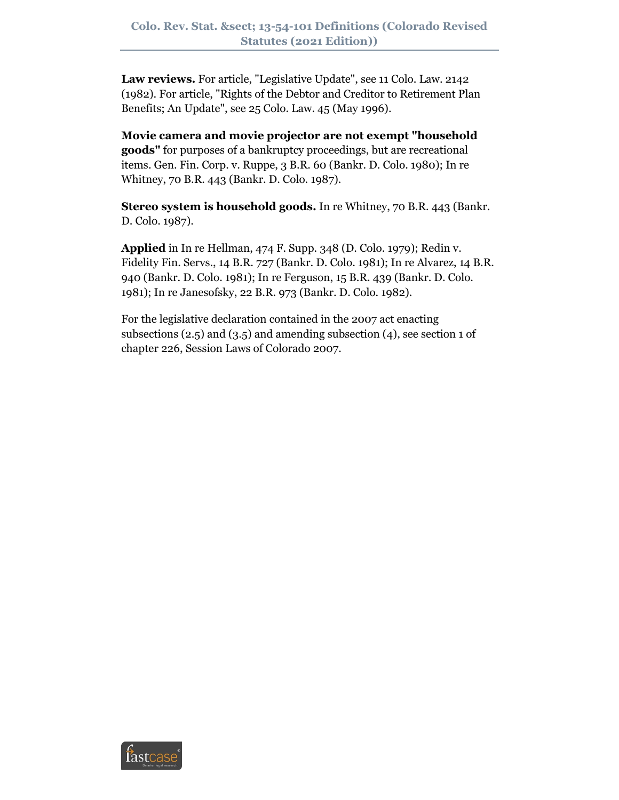**Law reviews.** For article, "Legislative Update", see 11 Colo. Law. 2142 (1982). For article, "Rights of the Debtor and Creditor to Retirement Plan Benefits; An Update", see 25 Colo. Law. 45 (May 1996).

**Movie camera and movie projector are not exempt "household goods"** for purposes of a bankruptcy proceedings, but are recreational items. Gen. Fin. Corp. v. Ruppe, 3 B.R. 60 (Bankr. D. Colo. 1980); In re Whitney, 70 B.R. 443 (Bankr. D. Colo. 1987).

**Stereo system is household goods.** In re Whitney, 70 B.R. 443 (Bankr. D. Colo. 1987).

**Applied** in In re Hellman, 474 F. Supp. 348 (D. Colo. 1979); Redin v. Fidelity Fin. Servs., 14 B.R. 727 (Bankr. D. Colo. 1981); In re Alvarez, 14 B.R. 940 (Bankr. D. Colo. 1981); In re Ferguson, 15 B.R. 439 (Bankr. D. Colo. 1981); In re Janesofsky, 22 B.R. 973 (Bankr. D. Colo. 1982).

For the legislative declaration contained in the 2007 act enacting subsections  $(2.5)$  and  $(3.5)$  and amending subsection  $(4)$ , see section 1 of chapter 226, Session Laws of Colorado 2007.

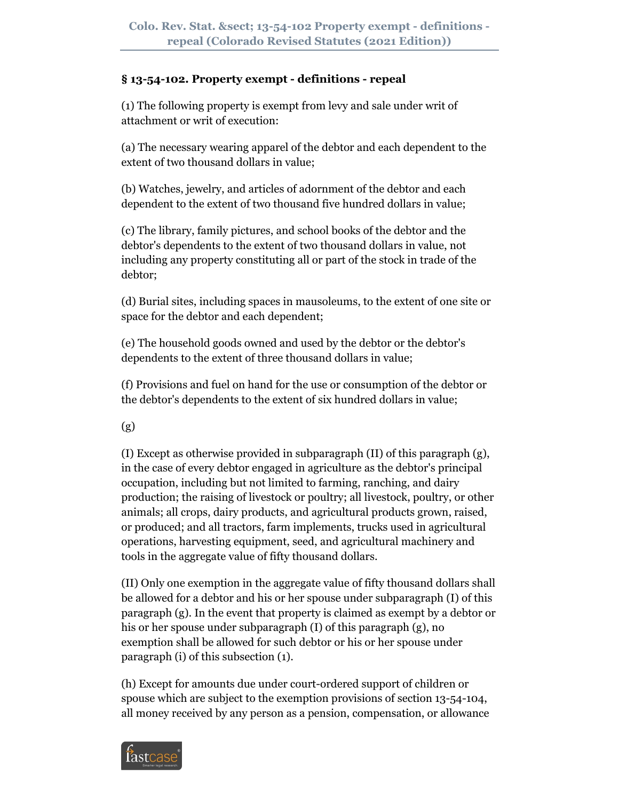# **§ 13-54-102. Property exempt - definitions - repeal**

(1) The following property is exempt from levy and sale under writ of attachment or writ of execution:

(a) The necessary wearing apparel of the debtor and each dependent to the extent of two thousand dollars in value;

(b) Watches, jewelry, and articles of adornment of the debtor and each dependent to the extent of two thousand five hundred dollars in value;

(c) The library, family pictures, and school books of the debtor and the debtor's dependents to the extent of two thousand dollars in value, not including any property constituting all or part of the stock in trade of the debtor;

(d) Burial sites, including spaces in mausoleums, to the extent of one site or space for the debtor and each dependent;

(e) The household goods owned and used by the debtor or the debtor's dependents to the extent of three thousand dollars in value;

(f) Provisions and fuel on hand for the use or consumption of the debtor or the debtor's dependents to the extent of six hundred dollars in value;

(g)

(I) Except as otherwise provided in subparagraph (II) of this paragraph (g), in the case of every debtor engaged in agriculture as the debtor's principal occupation, including but not limited to farming, ranching, and dairy production; the raising of livestock or poultry; all livestock, poultry, or other animals; all crops, dairy products, and agricultural products grown, raised, or produced; and all tractors, farm implements, trucks used in agricultural operations, harvesting equipment, seed, and agricultural machinery and tools in the aggregate value of fifty thousand dollars.

(II) Only one exemption in the aggregate value of fifty thousand dollars shall be allowed for a debtor and his or her spouse under subparagraph (I) of this paragraph (g). In the event that property is claimed as exempt by a debtor or his or her spouse under subparagraph (I) of this paragraph (g), no exemption shall be allowed for such debtor or his or her spouse under paragraph (i) of this subsection (1).

(h) Except for amounts due under court-ordered support of children or spouse which are subject to the exemption provisions of section 13-54-104, all money received by any person as a pension, compensation, or allowance

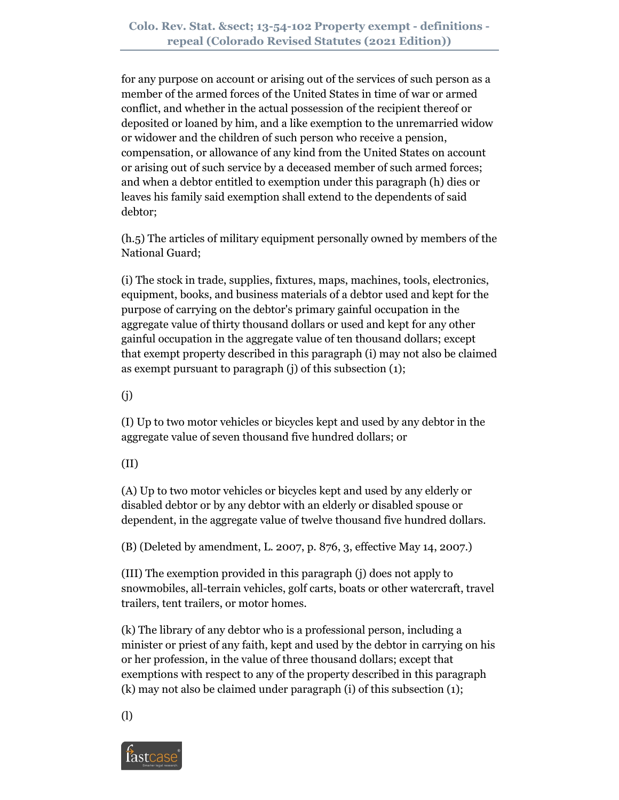for any purpose on account or arising out of the services of such person as a member of the armed forces of the United States in time of war or armed conflict, and whether in the actual possession of the recipient thereof or deposited or loaned by him, and a like exemption to the unremarried widow or widower and the children of such person who receive a pension, compensation, or allowance of any kind from the United States on account or arising out of such service by a deceased member of such armed forces; and when a debtor entitled to exemption under this paragraph (h) dies or leaves his family said exemption shall extend to the dependents of said debtor;

(h.5) The articles of military equipment personally owned by members of the National Guard;

(i) The stock in trade, supplies, fixtures, maps, machines, tools, electronics, equipment, books, and business materials of a debtor used and kept for the purpose of carrying on the debtor's primary gainful occupation in the aggregate value of thirty thousand dollars or used and kept for any other gainful occupation in the aggregate value of ten thousand dollars; except that exempt property described in this paragraph (i) may not also be claimed as exempt pursuant to paragraph (j) of this subsection (1);

(j)

(I) Up to two motor vehicles or bicycles kept and used by any debtor in the aggregate value of seven thousand five hundred dollars; or

(II)

(A) Up to two motor vehicles or bicycles kept and used by any elderly or disabled debtor or by any debtor with an elderly or disabled spouse or dependent, in the aggregate value of twelve thousand five hundred dollars.

(B) (Deleted by amendment, L. 2007, p. 876, 3, effective May 14, 2007.)

(III) The exemption provided in this paragraph (j) does not apply to snowmobiles, all-terrain vehicles, golf carts, boats or other watercraft, travel trailers, tent trailers, or motor homes.

(k) The library of any debtor who is a professional person, including a minister or priest of any faith, kept and used by the debtor in carrying on his or her profession, in the value of three thousand dollars; except that exemptions with respect to any of the property described in this paragraph (k) may not also be claimed under paragraph (i) of this subsection (1);

(l)

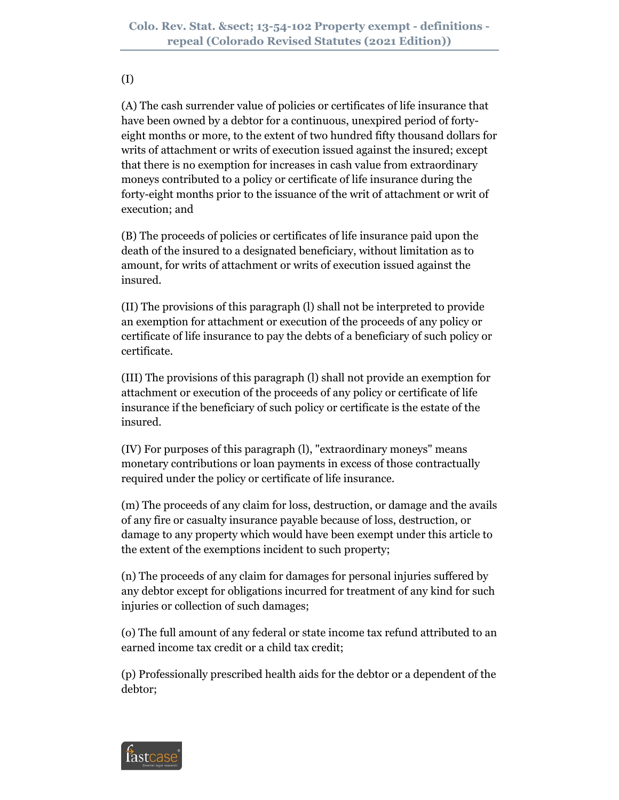#### (I)

(A) The cash surrender value of policies or certificates of life insurance that have been owned by a debtor for a continuous, unexpired period of fortyeight months or more, to the extent of two hundred fifty thousand dollars for writs of attachment or writs of execution issued against the insured; except that there is no exemption for increases in cash value from extraordinary moneys contributed to a policy or certificate of life insurance during the forty-eight months prior to the issuance of the writ of attachment or writ of execution; and

(B) The proceeds of policies or certificates of life insurance paid upon the death of the insured to a designated beneficiary, without limitation as to amount, for writs of attachment or writs of execution issued against the insured.

(II) The provisions of this paragraph (l) shall not be interpreted to provide an exemption for attachment or execution of the proceeds of any policy or certificate of life insurance to pay the debts of a beneficiary of such policy or certificate.

(III) The provisions of this paragraph (l) shall not provide an exemption for attachment or execution of the proceeds of any policy or certificate of life insurance if the beneficiary of such policy or certificate is the estate of the insured.

(IV) For purposes of this paragraph (l), "extraordinary moneys" means monetary contributions or loan payments in excess of those contractually required under the policy or certificate of life insurance.

(m) The proceeds of any claim for loss, destruction, or damage and the avails of any fire or casualty insurance payable because of loss, destruction, or damage to any property which would have been exempt under this article to the extent of the exemptions incident to such property;

(n) The proceeds of any claim for damages for personal injuries suffered by any debtor except for obligations incurred for treatment of any kind for such injuries or collection of such damages;

(o) The full amount of any federal or state income tax refund attributed to an earned income tax credit or a child tax credit;

(p) Professionally prescribed health aids for the debtor or a dependent of the debtor;

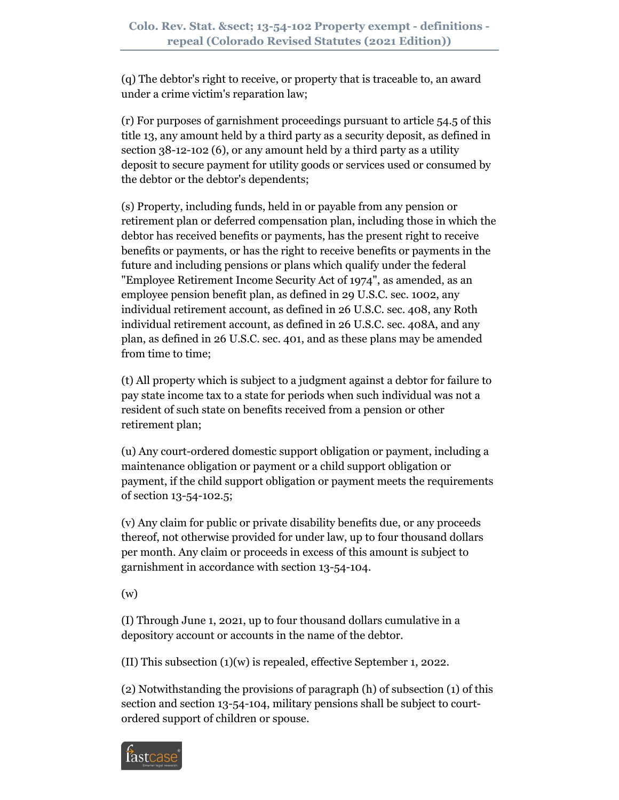(q) The debtor's right to receive, or property that is traceable to, an award under a crime victim's reparation law;

(r) For purposes of garnishment proceedings pursuant to article 54.5 of this title 13, any amount held by a third party as a security deposit, as defined in section 38-12-102 (6), or any amount held by a third party as a utility deposit to secure payment for utility goods or services used or consumed by the debtor or the debtor's dependents;

(s) Property, including funds, held in or payable from any pension or retirement plan or deferred compensation plan, including those in which the debtor has received benefits or payments, has the present right to receive benefits or payments, or has the right to receive benefits or payments in the future and including pensions or plans which qualify under the federal "Employee Retirement Income Security Act of 1974", as amended, as an employee pension benefit plan, as defined in 29 U.S.C. sec. 1002, any individual retirement account, as defined in 26 U.S.C. sec. 408, any Roth individual retirement account, as defined in 26 U.S.C. sec. 408A, and any plan, as defined in 26 U.S.C. sec. 401, and as these plans may be amended from time to time;

(t) All property which is subject to a judgment against a debtor for failure to pay state income tax to a state for periods when such individual was not a resident of such state on benefits received from a pension or other retirement plan;

(u) Any court-ordered domestic support obligation or payment, including a maintenance obligation or payment or a child support obligation or payment, if the child support obligation or payment meets the requirements of section 13-54-102.5;

(v) Any claim for public or private disability benefits due, or any proceeds thereof, not otherwise provided for under law, up to four thousand dollars per month. Any claim or proceeds in excess of this amount is subject to garnishment in accordance with section 13-54-104.

(w)

(I) Through June 1, 2021, up to four thousand dollars cumulative in a depository account or accounts in the name of the debtor.

(II) This subsection  $(1)(w)$  is repealed, effective September 1, 2022.

(2) Notwithstanding the provisions of paragraph (h) of subsection (1) of this section and section 13-54-104, military pensions shall be subject to courtordered support of children or spouse.

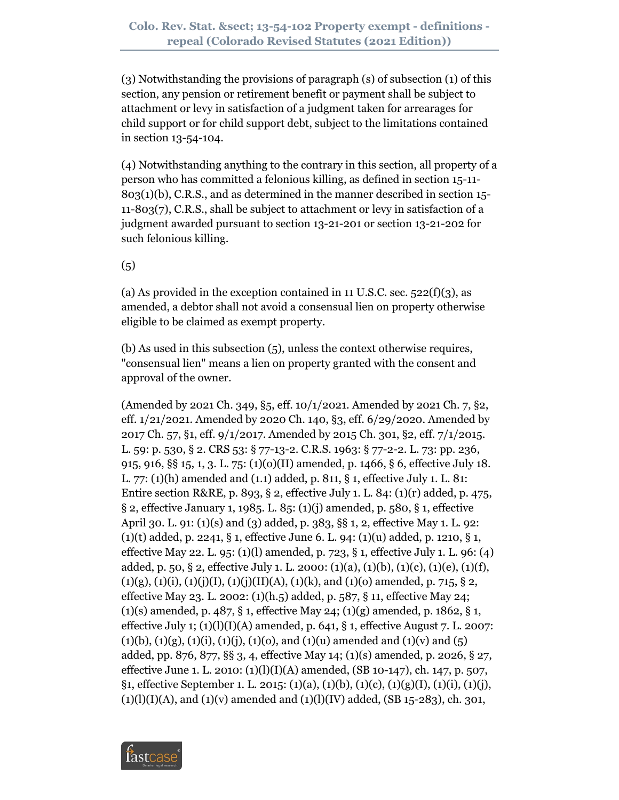(3) Notwithstanding the provisions of paragraph (s) of subsection (1) of this section, any pension or retirement benefit or payment shall be subject to attachment or levy in satisfaction of a judgment taken for arrearages for child support or for child support debt, subject to the limitations contained in section 13-54-104.

(4) Notwithstanding anything to the contrary in this section, all property of a person who has committed a felonious killing, as defined in section 15-11- 803(1)(b), C.R.S., and as determined in the manner described in section 15- 11-803(7), C.R.S., shall be subject to attachment or levy in satisfaction of a judgment awarded pursuant to section 13-21-201 or section 13-21-202 for such felonious killing.

 $(5)$ 

(a) As provided in the exception contained in 11 U.S.C. sec.  $522(f)(3)$ , as amended, a debtor shall not avoid a consensual lien on property otherwise eligible to be claimed as exempt property.

(b) As used in this subsection (5), unless the context otherwise requires, "consensual lien" means a lien on property granted with the consent and approval of the owner.

(Amended by 2021 Ch. 349, §5, eff. 10/1/2021. Amended by 2021 Ch. 7, §2, eff. 1/21/2021. Amended by 2020 Ch. 140, §3, eff. 6/29/2020. Amended by 2017 Ch. 57, §1, eff. 9/1/2017. Amended by 2015 Ch. 301, §2, eff. 7/1/2015. L. 59: p. 530, § 2. CRS 53: § 77-13-2. C.R.S. 1963: § 77-2-2. L. 73: pp. 236, 915, 916, §§ 15, 1, 3. L. 75: (1)(o)(II) amended, p. 1466, § 6, effective July 18. L. 77: (1)(h) amended and (1.1) added, p. 811, § 1, effective July 1. L. 81: Entire section R&RE, p. 893, § 2, effective July 1. L. 84:  $(1)(r)$  added, p. 475, § 2, effective January 1, 1985. L. 85: (1)(j) amended, p. 580, § 1, effective April 30. L. 91: (1)(s) and (3) added, p. 383, §§ 1, 2, effective May 1. L. 92: (1)(t) added, p. 2241, § 1, effective June 6. L. 94: (1)(u) added, p. 1210, § 1, effective May 22. L. 95: (1)(l) amended, p. 723, § 1, effective July 1. L. 96: (4) added, p. 50, § 2, effective July 1. L. 2000: (1)(a), (1)(b), (1)(c), (1)(e), (1)(f),  $(1)(g)$ ,  $(1)(i)$ ,  $(1)(j)(I)$ ,  $(1)(j)(II)(A)$ ,  $(1)(k)$ , and  $(1)(o)$  amended, p. 715, § 2, effective May 23. L. 2002: (1)(h.5) added, p. 587, § 11, effective May 24; (1)(s) amended, p. 487, § 1, effective May 24; (1)(g) amended, p. 1862, § 1, effective July 1;  $(1)(1)(1)(A)$  amended, p. 641, § 1, effective August 7. L. 2007:  $(1)(b)$ ,  $(1)(g)$ ,  $(1)(i)$ ,  $(1)(i)$ ,  $(1)(o)$ , and  $(1)(u)$  amended and  $(1)(v)$  and  $(5)$ added, pp. 876, 877, §§ 3, 4, effective May 14; (1)(s) amended, p. 2026, § 27, effective June 1. L. 2010: (1)(l)(I)(A) amended, (SB 10-147), ch. 147, p. 507, §1, effective September 1. L. 2015: (1)(a), (1)(b), (1)(c), (1)(g)(I), (1)(i), (1)(j),  $(1)(1)(1)(A)$ , and  $(1)(v)$  amended and  $(1)(1)(IV)$  added, (SB 15-283), ch. 301,

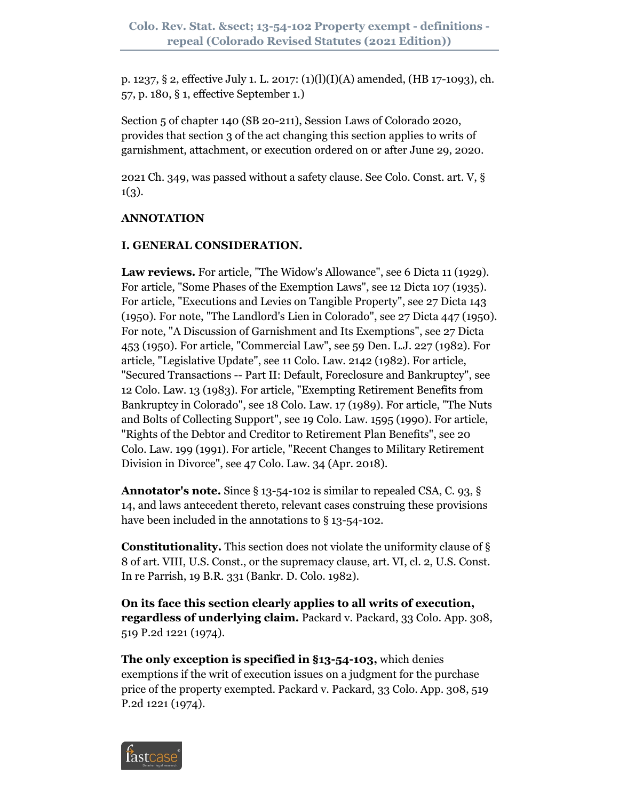p. 1237, § 2, effective July 1. L. 2017: (1)(l)(I)(A) amended, (HB 17-1093), ch. 57, p. 180, § 1, effective September 1.)

Section 5 of chapter 140 (SB 20-211), Session Laws of Colorado 2020, provides that section 3 of the act changing this section applies to writs of garnishment, attachment, or execution ordered on or after June 29, 2020.

2021 Ch. 349, was passed without a safety clause. See Colo. Const. art. V, §  $1(3).$ 

# **ANNOTATION**

# **I. GENERAL CONSIDERATION.**

**Law reviews.** For article, "The Widow's Allowance", see 6 Dicta 11 (1929). For article, "Some Phases of the Exemption Laws", see 12 Dicta 107 (1935). For article, "Executions and Levies on Tangible Property", see 27 Dicta 143 (1950). For note, "The Landlord's Lien in Colorado", see 27 Dicta 447 (1950). For note, "A Discussion of Garnishment and Its Exemptions", see 27 Dicta 453 (1950). For article, "Commercial Law", see 59 Den. L.J. 227 (1982). For article, "Legislative Update", see 11 Colo. Law. 2142 (1982). For article, "Secured Transactions -- Part II: Default, Foreclosure and Bankruptcy", see 12 Colo. Law. 13 (1983). For article, "Exempting Retirement Benefits from Bankruptcy in Colorado", see 18 Colo. Law. 17 (1989). For article, "The Nuts and Bolts of Collecting Support", see 19 Colo. Law. 1595 (1990). For article, "Rights of the Debtor and Creditor to Retirement Plan Benefits", see 20 Colo. Law. 199 (1991). For article, "Recent Changes to Military Retirement Division in Divorce", see 47 Colo. Law. 34 (Apr. 2018).

**Annotator's note.** Since § 13-54-102 is similar to repealed CSA, C. 93, § 14, and laws antecedent thereto, relevant cases construing these provisions have been included in the annotations to § 13-54-102.

**Constitutionality.** This section does not violate the uniformity clause of § 8 of art. VIII, U.S. Const., or the supremacy clause, art. VI, cl. 2, U.S. Const. In re Parrish, 19 B.R. 331 (Bankr. D. Colo. 1982).

**On its face this section clearly applies to all writs of execution, regardless of underlying claim.** Packard v. Packard, 33 Colo. App. 308, 519 P.2d 1221 (1974).

**The only exception is specified in §13-54-103,** which denies exemptions if the writ of execution issues on a judgment for the purchase price of the property exempted. Packard v. Packard, 33 Colo. App. 308, 519 P.2d 1221 (1974).

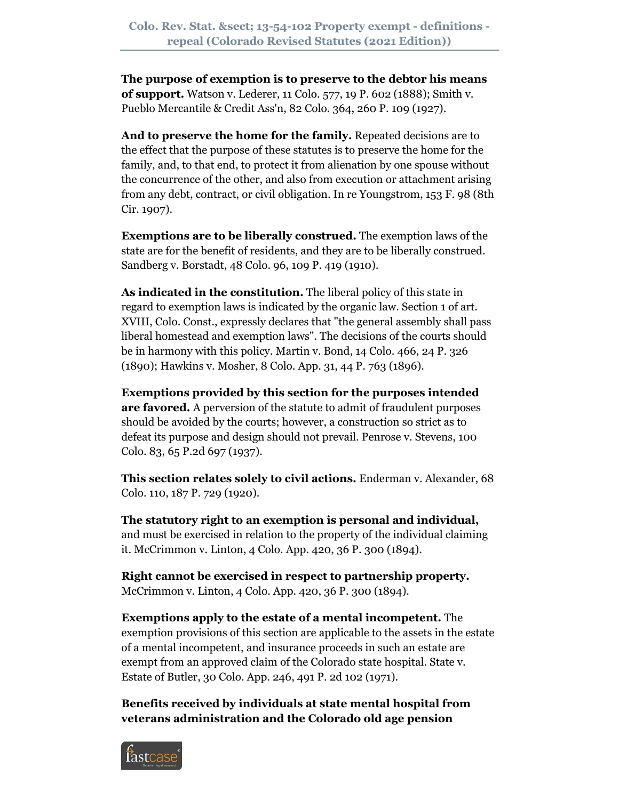**The purpose of exemption is to preserve to the debtor his means of support.** Watson v. Lederer, 11 Colo. 577, 19 P. 602 (1888); Smith v. Pueblo Mercantile & Credit Ass'n, 82 Colo. 364, 260 P. 109 (1927).

**And to preserve the home for the family.** Repeated decisions are to the effect that the purpose of these statutes is to preserve the home for the family, and, to that end, to protect it from alienation by one spouse without the concurrence of the other, and also from execution or attachment arising from any debt, contract, or civil obligation. In re Youngstrom, 153 F. 98 (8th Cir. 1907).

**Exemptions are to be liberally construed.** The exemption laws of the state are for the benefit of residents, and they are to be liberally construed. Sandberg v. Borstadt, 48 Colo. 96, 109 P. 419 (1910).

**As indicated in the constitution.** The liberal policy of this state in regard to exemption laws is indicated by the organic law. Section 1 of art. XVIII, Colo. Const., expressly declares that "the general assembly shall pass liberal homestead and exemption laws". The decisions of the courts should be in harmony with this policy. Martin v. Bond, 14 Colo. 466, 24 P. 326 (1890); Hawkins v. Mosher, 8 Colo. App. 31, 44 P. 763 (1896).

**Exemptions provided by this section for the purposes intended are favored.** A perversion of the statute to admit of fraudulent purposes should be avoided by the courts; however, a construction so strict as to defeat its purpose and design should not prevail. Penrose v. Stevens, 100 Colo. 83, 65 P.2d 697 (1937).

**This section relates solely to civil actions.** Enderman v. Alexander, 68 Colo. 110, 187 P. 729 (1920).

**The statutory right to an exemption is personal and individual,** and must be exercised in relation to the property of the individual claiming it. McCrimmon v. Linton, 4 Colo. App. 420, 36 P. 300 (1894).

**Right cannot be exercised in respect to partnership property.** McCrimmon v. Linton, 4 Colo. App. 420, 36 P. 300 (1894).

**Exemptions apply to the estate of a mental incompetent.** The exemption provisions of this section are applicable to the assets in the estate of a mental incompetent, and insurance proceeds in such an estate are exempt from an approved claim of the Colorado state hospital. State v. Estate of Butler, 30 Colo. App. 246, 491 P. 2d 102 (1971).

**Benefits received by individuals at state mental hospital from veterans administration and the Colorado old age pension** 

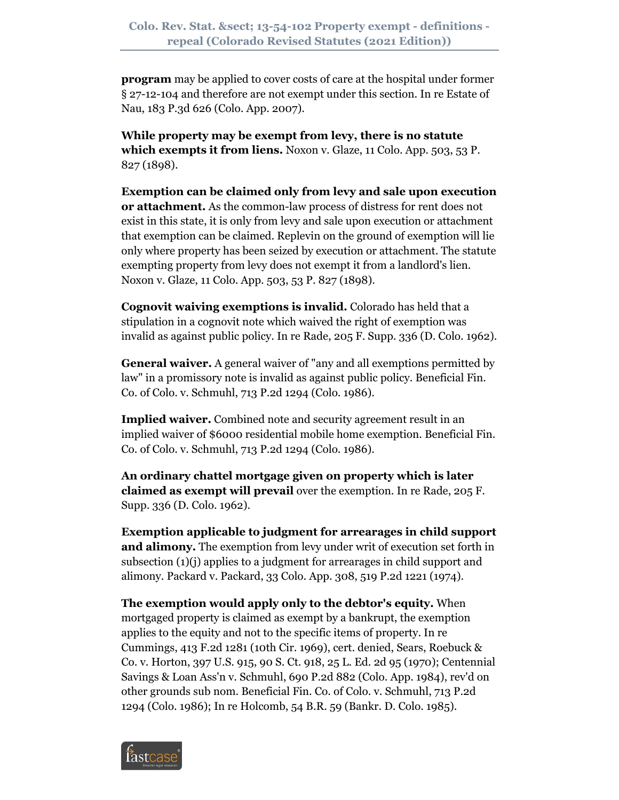**program** may be applied to cover costs of care at the hospital under former § 27-12-104 and therefore are not exempt under this section. In re Estate of Nau, 183 P.3d 626 (Colo. App. 2007).

**While property may be exempt from levy, there is no statute which exempts it from liens.** Noxon v. Glaze, 11 Colo. App. 503, 53 P. 827 (1898).

**Exemption can be claimed only from levy and sale upon execution or attachment.** As the common-law process of distress for rent does not exist in this state, it is only from levy and sale upon execution or attachment that exemption can be claimed. Replevin on the ground of exemption will lie only where property has been seized by execution or attachment. The statute exempting property from levy does not exempt it from a landlord's lien. Noxon v. Glaze, 11 Colo. App. 503, 53 P. 827 (1898).

**Cognovit waiving exemptions is invalid.** Colorado has held that a stipulation in a cognovit note which waived the right of exemption was invalid as against public policy. In re Rade, 205 F. Supp. 336 (D. Colo. 1962).

**General waiver.** A general waiver of "any and all exemptions permitted by law" in a promissory note is invalid as against public policy. Beneficial Fin. Co. of Colo. v. Schmuhl, 713 P.2d 1294 (Colo. 1986).

**Implied waiver.** Combined note and security agreement result in an implied waiver of \$6000 residential mobile home exemption. Beneficial Fin. Co. of Colo. v. Schmuhl, 713 P.2d 1294 (Colo. 1986).

**An ordinary chattel mortgage given on property which is later claimed as exempt will prevail** over the exemption. In re Rade, 205 F. Supp. 336 (D. Colo. 1962).

**Exemption applicable to judgment for arrearages in child support and alimony.** The exemption from levy under writ of execution set forth in subsection (1)(j) applies to a judgment for arrearages in child support and alimony. Packard v. Packard, 33 Colo. App. 308, 519 P.2d 1221 (1974).

**The exemption would apply only to the debtor's equity.** When mortgaged property is claimed as exempt by a bankrupt, the exemption applies to the equity and not to the specific items of property. In re Cummings, 413 F.2d 1281 (10th Cir. 1969), cert. denied, Sears, Roebuck & Co. v. Horton, 397 U.S. 915, 90 S. Ct. 918, 25 L. Ed. 2d 95 (1970); Centennial Savings & Loan Ass'n v. Schmuhl, 690 P.2d 882 (Colo. App. 1984), rev'd on other grounds sub nom. Beneficial Fin. Co. of Colo. v. Schmuhl, 713 P.2d 1294 (Colo. 1986); In re Holcomb, 54 B.R. 59 (Bankr. D. Colo. 1985).

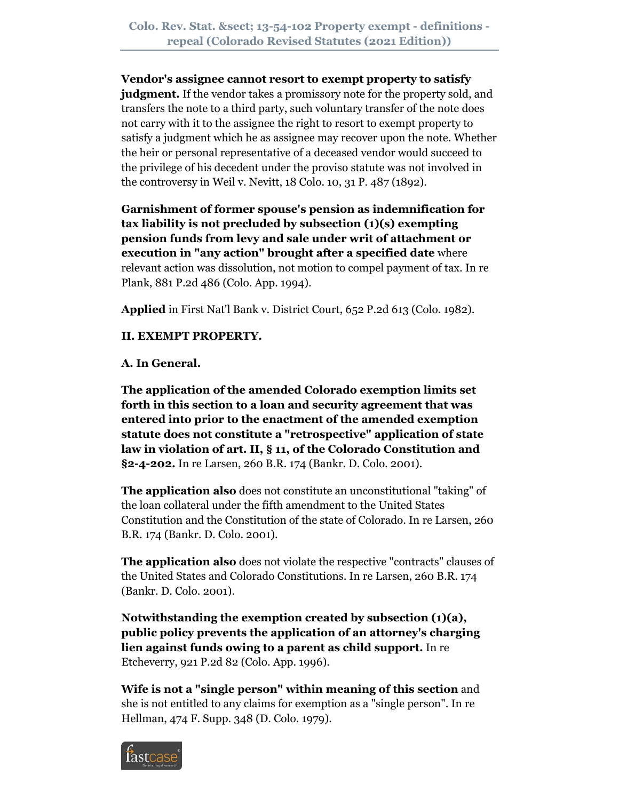**Vendor's assignee cannot resort to exempt property to satisfy judgment.** If the vendor takes a promissory note for the property sold, and transfers the note to a third party, such voluntary transfer of the note does not carry with it to the assignee the right to resort to exempt property to satisfy a judgment which he as assignee may recover upon the note. Whether the heir or personal representative of a deceased vendor would succeed to the privilege of his decedent under the proviso statute was not involved in the controversy in Weil v. Nevitt, 18 Colo. 10, 31 P. 487 (1892).

**Garnishment of former spouse's pension as indemnification for tax liability is not precluded by subsection (1)(s) exempting pension funds from levy and sale under writ of attachment or execution in "any action" brought after a specified date** where relevant action was dissolution, not motion to compel payment of tax. In re Plank, 881 P.2d 486 (Colo. App. 1994).

**Applied** in First Nat'l Bank v. District Court, 652 P.2d 613 (Colo. 1982).

**II. EXEMPT PROPERTY.**

**A. In General.**

**The application of the amended Colorado exemption limits set forth in this section to a loan and security agreement that was entered into prior to the enactment of the amended exemption statute does not constitute a "retrospective" application of state law in violation of art. II, § 11, of the Colorado Constitution and §2-4-202.** In re Larsen, 260 B.R. 174 (Bankr. D. Colo. 2001).

**The application also** does not constitute an unconstitutional "taking" of the loan collateral under the fifth amendment to the United States Constitution and the Constitution of the state of Colorado. In re Larsen, 260 B.R. 174 (Bankr. D. Colo. 2001).

**The application also** does not violate the respective "contracts" clauses of the United States and Colorado Constitutions. In re Larsen, 260 B.R. 174 (Bankr. D. Colo. 2001).

**Notwithstanding the exemption created by subsection (1)(a), public policy prevents the application of an attorney's charging lien against funds owing to a parent as child support.** In re Etcheverry, 921 P.2d 82 (Colo. App. 1996).

**Wife is not a "single person" within meaning of this section** and she is not entitled to any claims for exemption as a "single person". In re Hellman, 474 F. Supp. 348 (D. Colo. 1979).

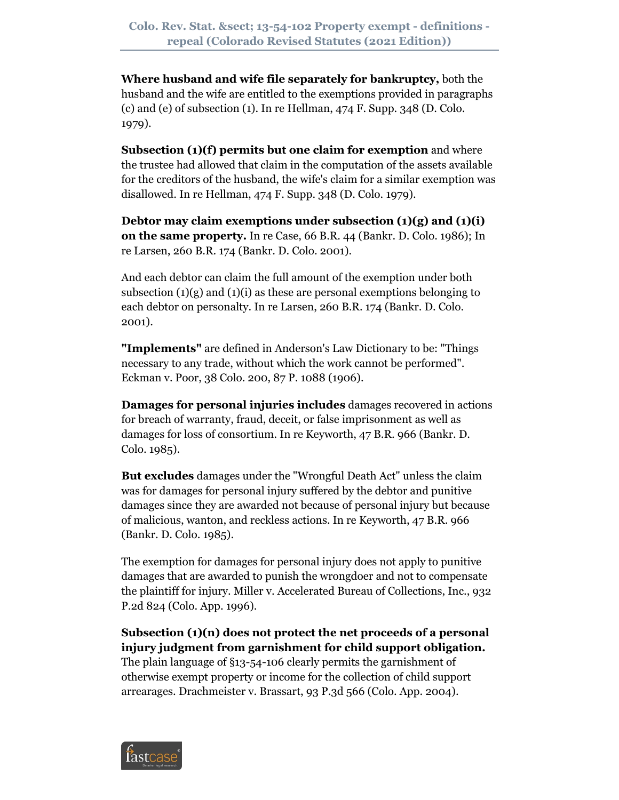**Where husband and wife file separately for bankruptcy,** both the husband and the wife are entitled to the exemptions provided in paragraphs (c) and (e) of subsection (1). In re Hellman, 474 F. Supp. 348 (D. Colo. 1979).

**Subsection (1)(f) permits but one claim for exemption** and where the trustee had allowed that claim in the computation of the assets available for the creditors of the husband, the wife's claim for a similar exemption was disallowed. In re Hellman, 474 F. Supp. 348 (D. Colo. 1979).

**Debtor may claim exemptions under subsection (1)(g) and (1)(i) on the same property.** In re Case, 66 B.R. 44 (Bankr. D. Colo. 1986); In re Larsen, 260 B.R. 174 (Bankr. D. Colo. 2001).

And each debtor can claim the full amount of the exemption under both subsection  $(1)(g)$  and  $(1)(i)$  as these are personal exemptions belonging to each debtor on personalty. In re Larsen, 260 B.R. 174 (Bankr. D. Colo. 2001).

**"Implements"** are defined in Anderson's Law Dictionary to be: "Things necessary to any trade, without which the work cannot be performed". Eckman v. Poor, 38 Colo. 200, 87 P. 1088 (1906).

**Damages for personal injuries includes** damages recovered in actions for breach of warranty, fraud, deceit, or false imprisonment as well as damages for loss of consortium. In re Keyworth, 47 B.R. 966 (Bankr. D. Colo. 1985).

**But excludes** damages under the "Wrongful Death Act" unless the claim was for damages for personal injury suffered by the debtor and punitive damages since they are awarded not because of personal injury but because of malicious, wanton, and reckless actions. In re Keyworth, 47 B.R. 966 (Bankr. D. Colo. 1985).

The exemption for damages for personal injury does not apply to punitive damages that are awarded to punish the wrongdoer and not to compensate the plaintiff for injury. Miller v. Accelerated Bureau of Collections, Inc., 932 P.2d 824 (Colo. App. 1996).

**Subsection (1)(n) does not protect the net proceeds of a personal injury judgment from garnishment for child support obligation.** The plain language of §13-54-106 clearly permits the garnishment of otherwise exempt property or income for the collection of child support arrearages. Drachmeister v. Brassart, 93 P.3d 566 (Colo. App. 2004).

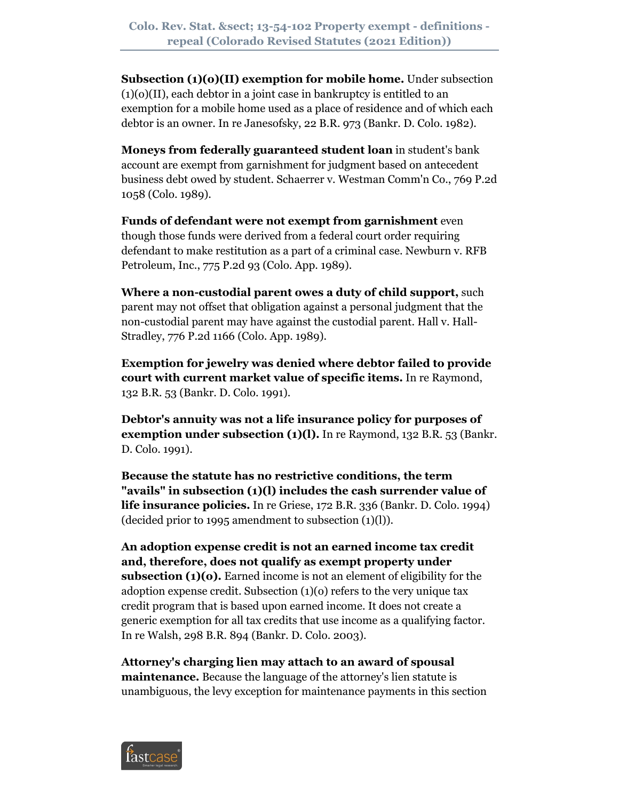**Subsection (1)(o)(II) exemption for mobile home.** Under subsection  $(1)(o)(II)$ , each debtor in a joint case in bankruptcy is entitled to an exemption for a mobile home used as a place of residence and of which each debtor is an owner. In re Janesofsky, 22 B.R. 973 (Bankr. D. Colo. 1982).

**Moneys from federally guaranteed student loan** in student's bank account are exempt from garnishment for judgment based on antecedent business debt owed by student. Schaerrer v. Westman Comm'n Co., 769 P.2d 1058 (Colo. 1989).

**Funds of defendant were not exempt from garnishment** even though those funds were derived from a federal court order requiring defendant to make restitution as a part of a criminal case. Newburn v. RFB Petroleum, Inc., 775 P.2d 93 (Colo. App. 1989).

**Where a non-custodial parent owes a duty of child support,** such parent may not offset that obligation against a personal judgment that the non-custodial parent may have against the custodial parent. Hall v. Hall-Stradley, 776 P.2d 1166 (Colo. App. 1989).

**Exemption for jewelry was denied where debtor failed to provide court with current market value of specific items.** In re Raymond, 132 B.R. 53 (Bankr. D. Colo. 1991).

**Debtor's annuity was not a life insurance policy for purposes of exemption under subsection (1)(l).** In re Raymond, 132 B.R. 53 (Bankr. D. Colo. 1991).

**Because the statute has no restrictive conditions, the term "avails" in subsection (1)(l) includes the cash surrender value of life insurance policies.** In re Griese, 172 B.R. 336 (Bankr. D. Colo. 1994) (decided prior to 1995 amendment to subsection (1)(l)).

**An adoption expense credit is not an earned income tax credit and, therefore, does not qualify as exempt property under subsection (1)(o).** Earned income is not an element of eligibility for the adoption expense credit. Subsection (1)(o) refers to the very unique tax credit program that is based upon earned income. It does not create a generic exemption for all tax credits that use income as a qualifying factor. In re Walsh, 298 B.R. 894 (Bankr. D. Colo. 2003).

**Attorney's charging lien may attach to an award of spousal maintenance.** Because the language of the attorney's lien statute is unambiguous, the levy exception for maintenance payments in this section

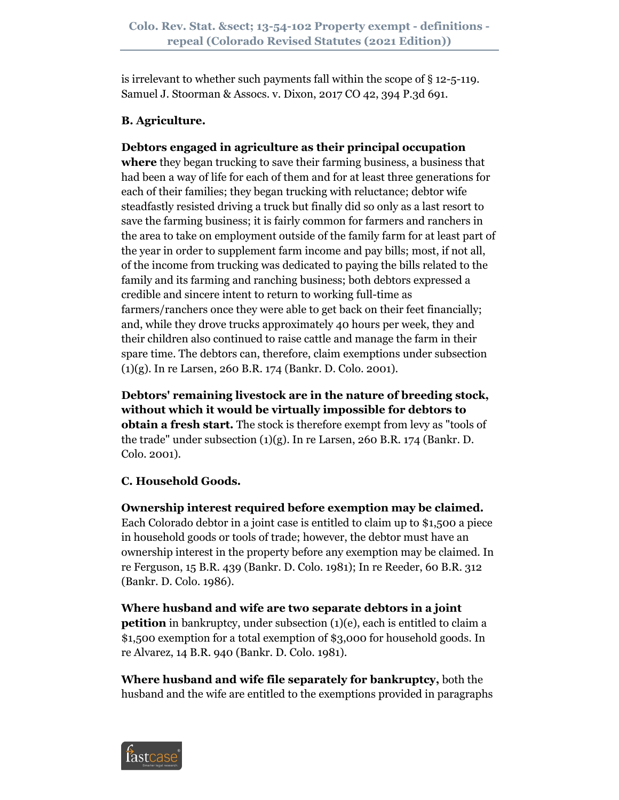is irrelevant to whether such payments fall within the scope of  $\S$  12-5-119. Samuel J. Stoorman & Assocs. v. Dixon, 2017 CO 42, 394 P.3d 691.

# **B. Agriculture.**

# **Debtors engaged in agriculture as their principal occupation**

**where** they began trucking to save their farming business, a business that had been a way of life for each of them and for at least three generations for each of their families; they began trucking with reluctance; debtor wife steadfastly resisted driving a truck but finally did so only as a last resort to save the farming business; it is fairly common for farmers and ranchers in the area to take on employment outside of the family farm for at least part of the year in order to supplement farm income and pay bills; most, if not all, of the income from trucking was dedicated to paying the bills related to the family and its farming and ranching business; both debtors expressed a credible and sincere intent to return to working full-time as farmers/ranchers once they were able to get back on their feet financially; and, while they drove trucks approximately 40 hours per week, they and their children also continued to raise cattle and manage the farm in their spare time. The debtors can, therefore, claim exemptions under subsection (1)(g). In re Larsen, 260 B.R. 174 (Bankr. D. Colo. 2001).

**Debtors' remaining livestock are in the nature of breeding stock, without which it would be virtually impossible for debtors to obtain a fresh start.** The stock is therefore exempt from levy as "tools of the trade" under subsection (1)(g). In re Larsen, 260 B.R. 174 (Bankr. D. Colo. 2001).

# **C. Household Goods.**

**Ownership interest required before exemption may be claimed.** Each Colorado debtor in a joint case is entitled to claim up to \$1,500 a piece in household goods or tools of trade; however, the debtor must have an ownership interest in the property before any exemption may be claimed. In re Ferguson, 15 B.R. 439 (Bankr. D. Colo. 1981); In re Reeder, 60 B.R. 312 (Bankr. D. Colo. 1986).

**Where husband and wife are two separate debtors in a joint petition** in bankruptcy, under subsection (1)(e), each is entitled to claim a \$1,500 exemption for a total exemption of \$3,000 for household goods. In re Alvarez, 14 B.R. 940 (Bankr. D. Colo. 1981).

**Where husband and wife file separately for bankruptcy,** both the husband and the wife are entitled to the exemptions provided in paragraphs

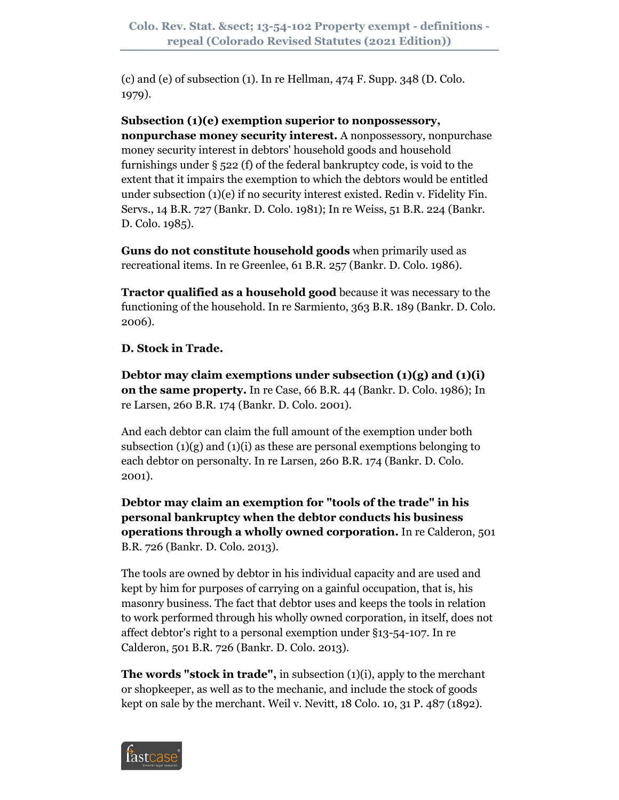(c) and (e) of subsection (1). In re Hellman, 474 F. Supp. 348 (D. Colo. 1979).

**Subsection (1)(e) exemption superior to nonpossessory, nonpurchase money security interest.** A nonpossessory, nonpurchase money security interest in debtors' household goods and household furnishings under § 522 (f) of the federal bankruptcy code, is void to the extent that it impairs the exemption to which the debtors would be entitled under subsection (1)(e) if no security interest existed. Redin v. Fidelity Fin. Servs., 14 B.R. 727 (Bankr. D. Colo. 1981); In re Weiss, 51 B.R. 224 (Bankr. D. Colo. 1985).

**Guns do not constitute household goods** when primarily used as recreational items. In re Greenlee, 61 B.R. 257 (Bankr. D. Colo. 1986).

**Tractor qualified as a household good** because it was necessary to the functioning of the household. In re Sarmiento, 363 B.R. 189 (Bankr. D. Colo. 2006).

**D. Stock in Trade.**

**Debtor may claim exemptions under subsection (1)(g) and (1)(i) on the same property.** In re Case, 66 B.R. 44 (Bankr. D. Colo. 1986); In re Larsen, 260 B.R. 174 (Bankr. D. Colo. 2001).

And each debtor can claim the full amount of the exemption under both subsection  $(1)(g)$  and  $(1)(i)$  as these are personal exemptions belonging to each debtor on personalty. In re Larsen, 260 B.R. 174 (Bankr. D. Colo. 2001).

**Debtor may claim an exemption for "tools of the trade" in his personal bankruptcy when the debtor conducts his business operations through a wholly owned corporation.** In re Calderon, 501 B.R. 726 (Bankr. D. Colo. 2013).

The tools are owned by debtor in his individual capacity and are used and kept by him for purposes of carrying on a gainful occupation, that is, his masonry business. The fact that debtor uses and keeps the tools in relation to work performed through his wholly owned corporation, in itself, does not affect debtor's right to a personal exemption under §13-54-107. In re Calderon, 501 B.R. 726 (Bankr. D. Colo. 2013).

**The words "stock in trade",** in subsection (1)(i), apply to the merchant or shopkeeper, as well as to the mechanic, and include the stock of goods kept on sale by the merchant. Weil v. Nevitt, 18 Colo. 10, 31 P. 487 (1892).

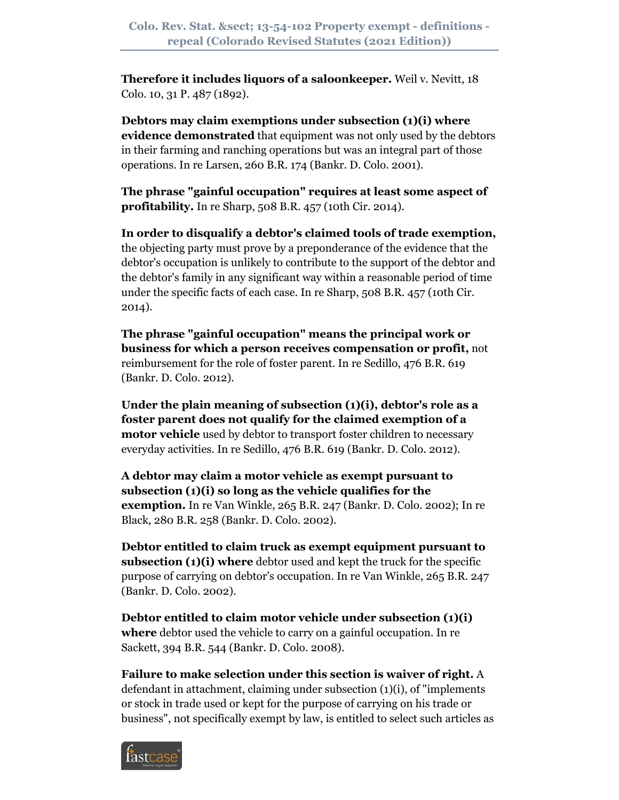**Therefore it includes liquors of a saloonkeeper.** Weil v. Nevitt, 18 Colo. 10, 31 P. 487 (1892).

**Debtors may claim exemptions under subsection (1)(i) where evidence demonstrated** that equipment was not only used by the debtors in their farming and ranching operations but was an integral part of those operations. In re Larsen, 260 B.R. 174 (Bankr. D. Colo. 2001).

**The phrase "gainful occupation" requires at least some aspect of profitability.** In re Sharp, 508 B.R. 457 (10th Cir. 2014).

**In order to disqualify a debtor's claimed tools of trade exemption,** the objecting party must prove by a preponderance of the evidence that the debtor's occupation is unlikely to contribute to the support of the debtor and the debtor's family in any significant way within a reasonable period of time under the specific facts of each case. In re Sharp, 508 B.R. 457 (10th Cir. 2014).

**The phrase "gainful occupation" means the principal work or business for which a person receives compensation or profit,** not reimbursement for the role of foster parent. In re Sedillo, 476 B.R. 619 (Bankr. D. Colo. 2012).

**Under the plain meaning of subsection (1)(i), debtor's role as a foster parent does not qualify for the claimed exemption of a motor vehicle** used by debtor to transport foster children to necessary everyday activities. In re Sedillo, 476 B.R. 619 (Bankr. D. Colo. 2012).

**A debtor may claim a motor vehicle as exempt pursuant to subsection (1)(i) so long as the vehicle qualifies for the exemption.** In re Van Winkle, 265 B.R. 247 (Bankr. D. Colo. 2002); In re Black, 280 B.R. 258 (Bankr. D. Colo. 2002).

**Debtor entitled to claim truck as exempt equipment pursuant to subsection (1)(i) where** debtor used and kept the truck for the specific purpose of carrying on debtor's occupation. In re Van Winkle, 265 B.R. 247 (Bankr. D. Colo. 2002).

**Debtor entitled to claim motor vehicle under subsection (1)(i) where** debtor used the vehicle to carry on a gainful occupation. In re Sackett, 394 B.R. 544 (Bankr. D. Colo. 2008).

**Failure to make selection under this section is waiver of right.** A defendant in attachment, claiming under subsection (1)(i), of "implements or stock in trade used or kept for the purpose of carrying on his trade or business", not specifically exempt by law, is entitled to select such articles as

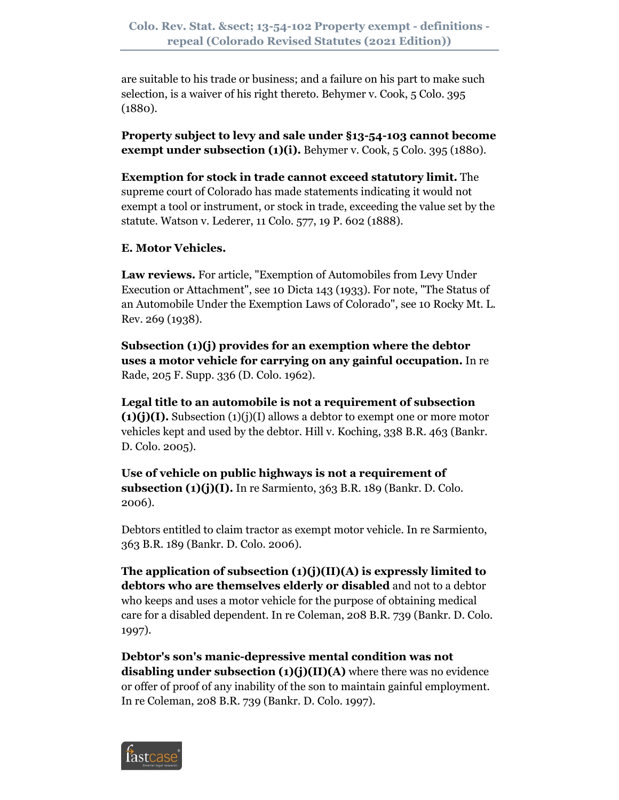are suitable to his trade or business; and a failure on his part to make such selection, is a waiver of his right thereto. Behymer v. Cook, 5 Colo. 395 (1880).

**Property subject to levy and sale under §13-54-103 cannot become exempt under subsection (1)(i).** Behymer v. Cook, 5 Colo. 395 (1880).

**Exemption for stock in trade cannot exceed statutory limit.** The supreme court of Colorado has made statements indicating it would not exempt a tool or instrument, or stock in trade, exceeding the value set by the statute. Watson v. Lederer, 11 Colo. 577, 19 P. 602 (1888).

# **E. Motor Vehicles.**

**Law reviews.** For article, "Exemption of Automobiles from Levy Under Execution or Attachment", see 10 Dicta 143 (1933). For note, "The Status of an Automobile Under the Exemption Laws of Colorado", see 10 Rocky Mt. L. Rev. 269 (1938).

**Subsection (1)(j) provides for an exemption where the debtor uses a motor vehicle for carrying on any gainful occupation.** In re Rade, 205 F. Supp. 336 (D. Colo. 1962).

**Legal title to an automobile is not a requirement of subsection (1)(j)(I).** Subsection (1)(j)(I) allows a debtor to exempt one or more motor vehicles kept and used by the debtor. Hill v. Koching, 338 B.R. 463 (Bankr. D. Colo. 2005).

**Use of vehicle on public highways is not a requirement of subsection (1)(j)(I).** In re Sarmiento, 363 B.R. 189 (Bankr. D. Colo. 2006).

Debtors entitled to claim tractor as exempt motor vehicle. In re Sarmiento, 363 B.R. 189 (Bankr. D. Colo. 2006).

**The application of subsection (1)(j)(II)(A) is expressly limited to debtors who are themselves elderly or disabled** and not to a debtor who keeps and uses a motor vehicle for the purpose of obtaining medical care for a disabled dependent. In re Coleman, 208 B.R. 739 (Bankr. D. Colo. 1997).

**Debtor's son's manic-depressive mental condition was not disabling under subsection (1)(j)(II)(A)** where there was no evidence or offer of proof of any inability of the son to maintain gainful employment. In re Coleman, 208 B.R. 739 (Bankr. D. Colo. 1997).

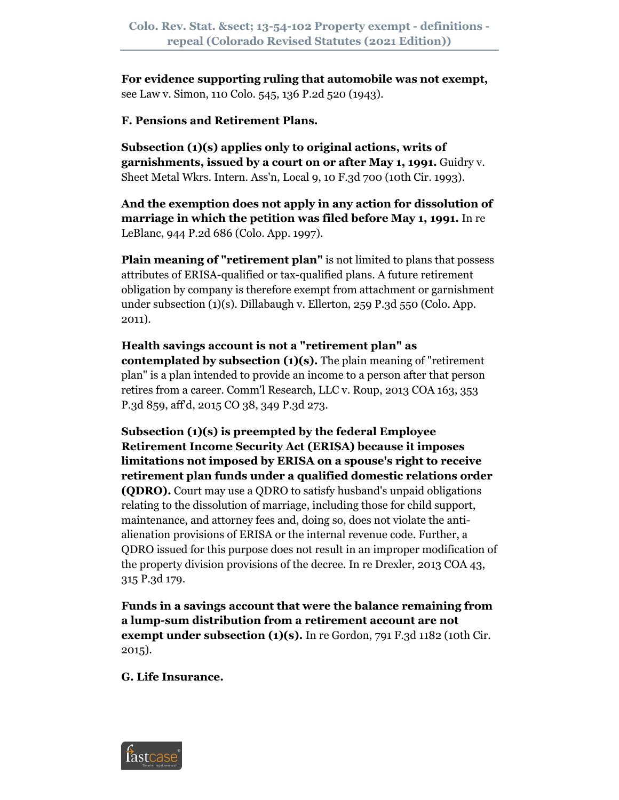**For evidence supporting ruling that automobile was not exempt,** see Law v. Simon, 110 Colo. 545, 136 P.2d 520 (1943).

#### **F. Pensions and Retirement Plans.**

**Subsection (1)(s) applies only to original actions, writs of garnishments, issued by a court on or after May 1, 1991.** Guidry v. Sheet Metal Wkrs. Intern. Ass'n, Local 9, 10 F.3d 700 (10th Cir. 1993).

**And the exemption does not apply in any action for dissolution of marriage in which the petition was filed before May 1, 1991.** In re LeBlanc, 944 P.2d 686 (Colo. App. 1997).

**Plain meaning of "retirement plan"** is not limited to plans that possess attributes of ERISA-qualified or tax-qualified plans. A future retirement obligation by company is therefore exempt from attachment or garnishment under subsection (1)(s). Dillabaugh v. Ellerton, 259 P.3d 550 (Colo. App. 2011).

**Health savings account is not a "retirement plan" as contemplated by subsection (1)(s).** The plain meaning of "retirement plan" is a plan intended to provide an income to a person after that person retires from a career. Comm'l Research, LLC v. Roup, 2013 COA 163, 353 P.3d 859, aff'd, 2015 CO 38, 349 P.3d 273.

**Subsection (1)(s) is preempted by the federal Employee Retirement Income Security Act (ERISA) because it imposes limitations not imposed by ERISA on a spouse's right to receive retirement plan funds under a qualified domestic relations order (QDRO).** Court may use a QDRO to satisfy husband's unpaid obligations relating to the dissolution of marriage, including those for child support, maintenance, and attorney fees and, doing so, does not violate the antialienation provisions of ERISA or the internal revenue code. Further, a QDRO issued for this purpose does not result in an improper modification of the property division provisions of the decree. In re Drexler, 2013 COA 43, 315 P.3d 179.

**Funds in a savings account that were the balance remaining from a lump-sum distribution from a retirement account are not exempt under subsection (1)(s).** In re Gordon, 791 F.3d 1182 (10th Cir. 2015).

**G. Life Insurance.**

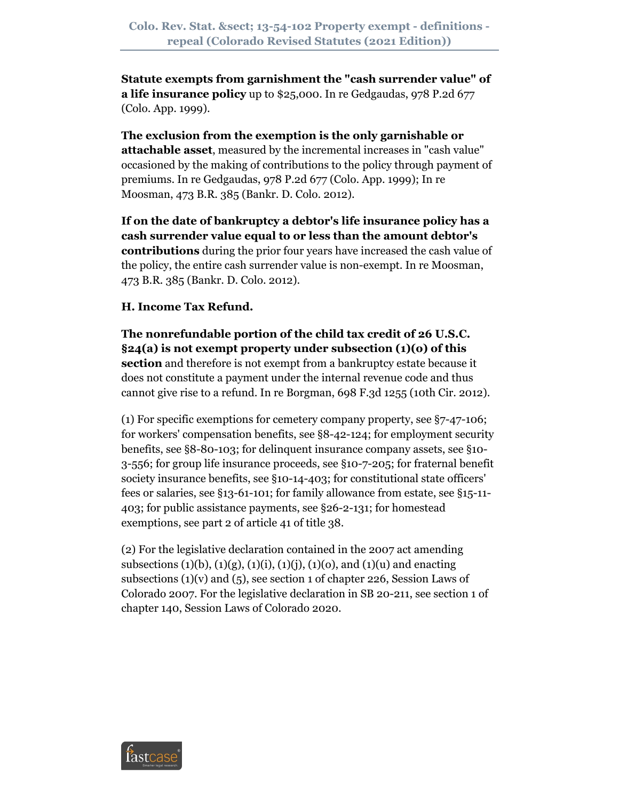**Statute exempts from garnishment the "cash surrender value" of a life insurance policy** up to \$25,000. In re Gedgaudas, 978 P.2d 677 (Colo. App. 1999).

**The exclusion from the exemption is the only garnishable or attachable asset**, measured by the incremental increases in "cash value" occasioned by the making of contributions to the policy through payment of premiums. In re Gedgaudas, 978 P.2d 677 (Colo. App. 1999); In re Moosman, 473 B.R. 385 (Bankr. D. Colo. 2012).

**If on the date of bankruptcy a debtor's life insurance policy has a cash surrender value equal to or less than the amount debtor's contributions** during the prior four years have increased the cash value of the policy, the entire cash surrender value is non-exempt. In re Moosman, 473 B.R. 385 (Bankr. D. Colo. 2012).

# **H. Income Tax Refund.**

**The nonrefundable portion of the child tax credit of 26 U.S.C. §24(a) is not exempt property under subsection (1)(o) of this section** and therefore is not exempt from a bankruptcy estate because it does not constitute a payment under the internal revenue code and thus cannot give rise to a refund. In re Borgman, 698 F.3d 1255 (10th Cir. 2012).

(1) For specific exemptions for cemetery company property, see §7-47-106; for workers' compensation benefits, see §8-42-124; for employment security benefits, see §8-80-103; for delinquent insurance company assets, see §10- 3-556; for group life insurance proceeds, see §10-7-205; for fraternal benefit society insurance benefits, see §10-14-403; for constitutional state officers' fees or salaries, see §13-61-101; for family allowance from estate, see §15-11- 403; for public assistance payments, see §26-2-131; for homestead exemptions, see part 2 of article 41 of title 38.

(2) For the legislative declaration contained in the 2007 act amending subsections (1)(b), (1)(g), (1)(i), (1)(j), (1)(o), and (1)(u) and enacting subsections  $(1)(v)$  and  $(5)$ , see section 1 of chapter 226, Session Laws of Colorado 2007. For the legislative declaration in SB 20-211, see section 1 of chapter 140, Session Laws of Colorado 2020.

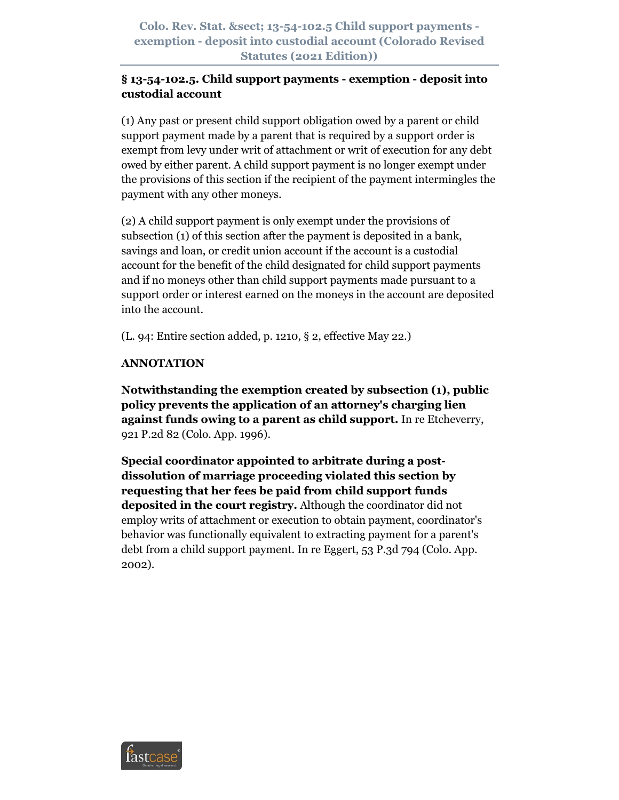**Colo. Rev. Stat. § 13-54-102.5 Child support payments exemption - deposit into custodial account (Colorado Revised Statutes (2021 Edition))**

# **§ 13-54-102.5. Child support payments - exemption - deposit into custodial account**

(1) Any past or present child support obligation owed by a parent or child support payment made by a parent that is required by a support order is exempt from levy under writ of attachment or writ of execution for any debt owed by either parent. A child support payment is no longer exempt under the provisions of this section if the recipient of the payment intermingles the payment with any other moneys.

(2) A child support payment is only exempt under the provisions of subsection (1) of this section after the payment is deposited in a bank, savings and loan, or credit union account if the account is a custodial account for the benefit of the child designated for child support payments and if no moneys other than child support payments made pursuant to a support order or interest earned on the moneys in the account are deposited into the account.

(L. 94: Entire section added, p. 1210, § 2, effective May 22.)

#### **ANNOTATION**

**Notwithstanding the exemption created by subsection (1), public policy prevents the application of an attorney's charging lien against funds owing to a parent as child support.** In re Etcheverry, 921 P.2d 82 (Colo. App. 1996).

**Special coordinator appointed to arbitrate during a postdissolution of marriage proceeding violated this section by requesting that her fees be paid from child support funds deposited in the court registry.** Although the coordinator did not employ writs of attachment or execution to obtain payment, coordinator's behavior was functionally equivalent to extracting payment for a parent's debt from a child support payment. In re Eggert, 53 P.3d 794 (Colo. App. 2002).

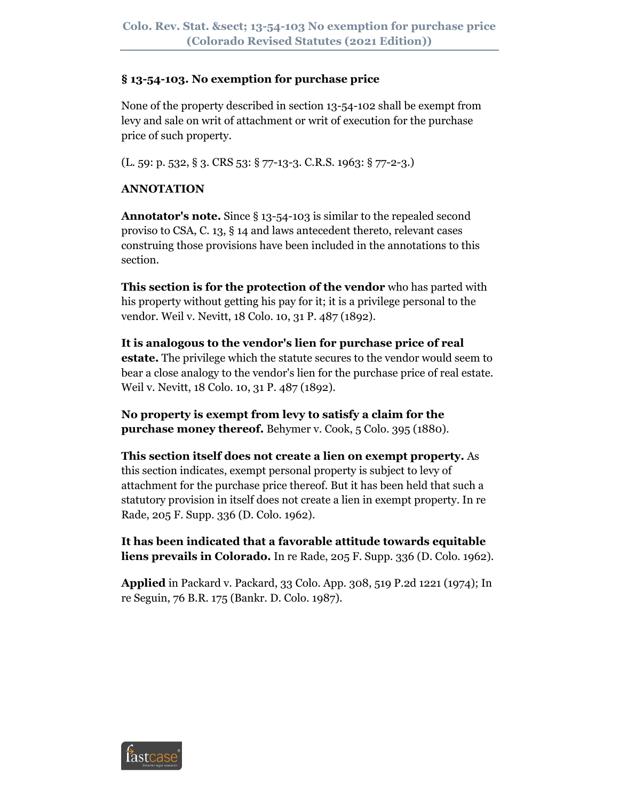#### **§ 13-54-103. No exemption for purchase price**

None of the property described in section 13-54-102 shall be exempt from levy and sale on writ of attachment or writ of execution for the purchase price of such property.

(L. 59: p. 532, § 3. CRS 53: § 77-13-3. C.R.S. 1963: § 77-2-3.)

# **ANNOTATION**

**Annotator's note.** Since § 13-54-103 is similar to the repealed second proviso to CSA, C. 13, § 14 and laws antecedent thereto, relevant cases construing those provisions have been included in the annotations to this section.

**This section is for the protection of the vendor** who has parted with his property without getting his pay for it; it is a privilege personal to the vendor. Weil v. Nevitt, 18 Colo. 10, 31 P. 487 (1892).

**It is analogous to the vendor's lien for purchase price of real estate.** The privilege which the statute secures to the vendor would seem to bear a close analogy to the vendor's lien for the purchase price of real estate. Weil v. Nevitt, 18 Colo. 10, 31 P. 487 (1892).

**No property is exempt from levy to satisfy a claim for the purchase money thereof.** Behymer v. Cook, 5 Colo. 395 (1880).

**This section itself does not create a lien on exempt property.** As this section indicates, exempt personal property is subject to levy of attachment for the purchase price thereof. But it has been held that such a statutory provision in itself does not create a lien in exempt property. In re Rade, 205 F. Supp. 336 (D. Colo. 1962).

**It has been indicated that a favorable attitude towards equitable liens prevails in Colorado.** In re Rade, 205 F. Supp. 336 (D. Colo. 1962).

**Applied** in Packard v. Packard, 33 Colo. App. 308, 519 P.2d 1221 (1974); In re Seguin, 76 B.R. 175 (Bankr. D. Colo. 1987).

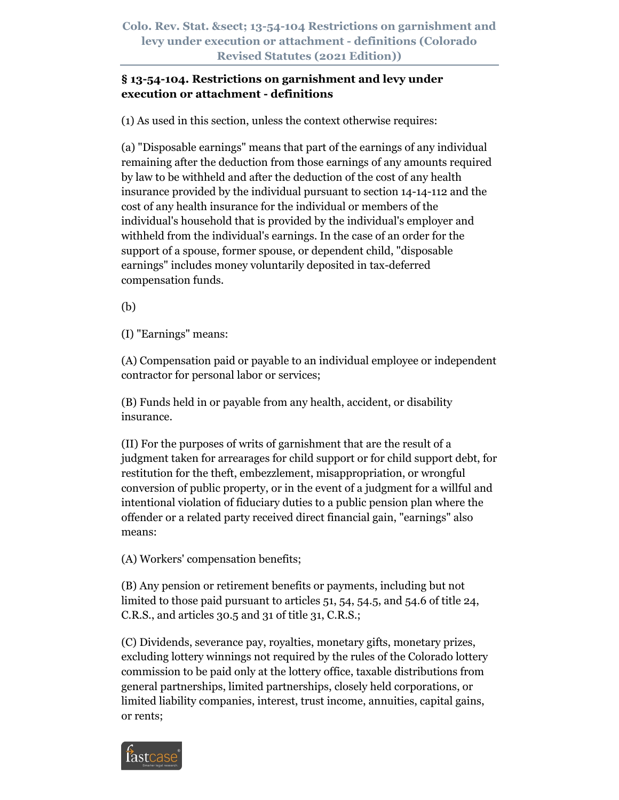# **§ 13-54-104. Restrictions on garnishment and levy under execution or attachment - definitions**

(1) As used in this section, unless the context otherwise requires:

(a) "Disposable earnings" means that part of the earnings of any individual remaining after the deduction from those earnings of any amounts required by law to be withheld and after the deduction of the cost of any health insurance provided by the individual pursuant to section 14-14-112 and the cost of any health insurance for the individual or members of the individual's household that is provided by the individual's employer and withheld from the individual's earnings. In the case of an order for the support of a spouse, former spouse, or dependent child, "disposable earnings" includes money voluntarily deposited in tax-deferred compensation funds.

(b)

(I) "Earnings" means:

(A) Compensation paid or payable to an individual employee or independent contractor for personal labor or services;

(B) Funds held in or payable from any health, accident, or disability insurance.

(II) For the purposes of writs of garnishment that are the result of a judgment taken for arrearages for child support or for child support debt, for restitution for the theft, embezzlement, misappropriation, or wrongful conversion of public property, or in the event of a judgment for a willful and intentional violation of fiduciary duties to a public pension plan where the offender or a related party received direct financial gain, "earnings" also means:

(A) Workers' compensation benefits;

(B) Any pension or retirement benefits or payments, including but not limited to those paid pursuant to articles 51, 54, 54.5, and 54.6 of title 24, C.R.S., and articles 30.5 and 31 of title 31, C.R.S.;

(C) Dividends, severance pay, royalties, monetary gifts, monetary prizes, excluding lottery winnings not required by the rules of the Colorado lottery commission to be paid only at the lottery office, taxable distributions from general partnerships, limited partnerships, closely held corporations, or limited liability companies, interest, trust income, annuities, capital gains, or rents;

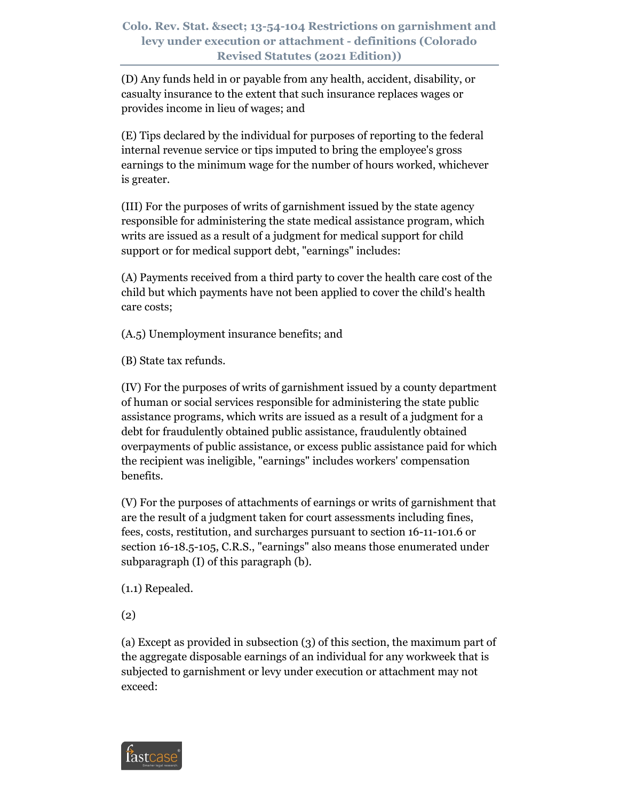(D) Any funds held in or payable from any health, accident, disability, or casualty insurance to the extent that such insurance replaces wages or provides income in lieu of wages; and

(E) Tips declared by the individual for purposes of reporting to the federal internal revenue service or tips imputed to bring the employee's gross earnings to the minimum wage for the number of hours worked, whichever is greater.

(III) For the purposes of writs of garnishment issued by the state agency responsible for administering the state medical assistance program, which writs are issued as a result of a judgment for medical support for child support or for medical support debt, "earnings" includes:

(A) Payments received from a third party to cover the health care cost of the child but which payments have not been applied to cover the child's health care costs;

(A.5) Unemployment insurance benefits; and

(B) State tax refunds.

(IV) For the purposes of writs of garnishment issued by a county department of human or social services responsible for administering the state public assistance programs, which writs are issued as a result of a judgment for a debt for fraudulently obtained public assistance, fraudulently obtained overpayments of public assistance, or excess public assistance paid for which the recipient was ineligible, "earnings" includes workers' compensation benefits.

(V) For the purposes of attachments of earnings or writs of garnishment that are the result of a judgment taken for court assessments including fines, fees, costs, restitution, and surcharges pursuant to section 16-11-101.6 or section 16-18.5-105, C.R.S., "earnings" also means those enumerated under subparagraph (I) of this paragraph (b).

(1.1) Repealed.

(2)

(a) Except as provided in subsection (3) of this section, the maximum part of the aggregate disposable earnings of an individual for any workweek that is subjected to garnishment or levy under execution or attachment may not exceed:

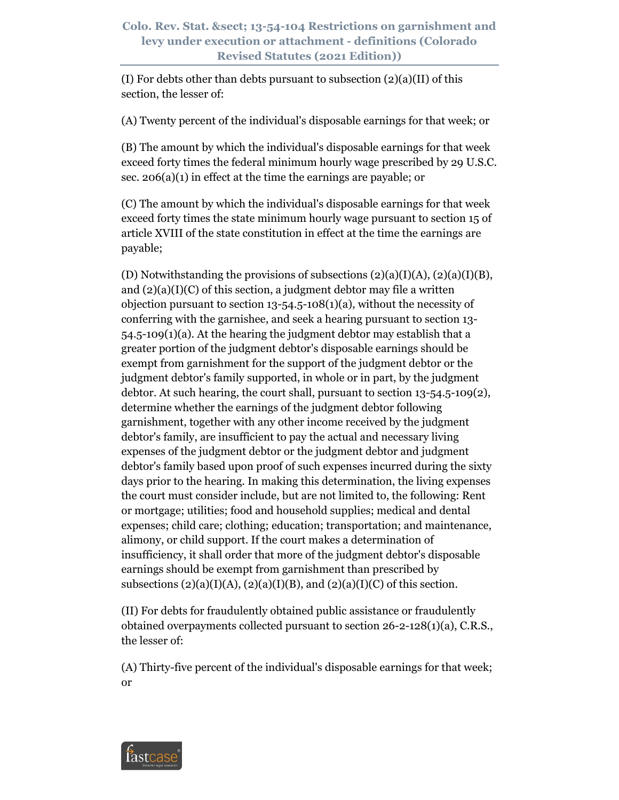(I) For debts other than debts pursuant to subsection  $(2)(a)(II)$  of this section, the lesser of:

(A) Twenty percent of the individual's disposable earnings for that week; or

(B) The amount by which the individual's disposable earnings for that week exceed forty times the federal minimum hourly wage prescribed by 29 U.S.C. sec. 206(a)(1) in effect at the time the earnings are payable; or

(C) The amount by which the individual's disposable earnings for that week exceed forty times the state minimum hourly wage pursuant to section 15 of article XVIII of the state constitution in effect at the time the earnings are payable;

(D) Notwithstanding the provisions of subsections  $(2)(a)(I)(A)$ ,  $(2)(a)(I)(B)$ , and  $(2)(a)(I)(C)$  of this section, a judgment debtor may file a written objection pursuant to section  $13-54.5-108(1)(a)$ , without the necessity of conferring with the garnishee, and seek a hearing pursuant to section 13- 54.5-109(1)(a). At the hearing the judgment debtor may establish that a greater portion of the judgment debtor's disposable earnings should be exempt from garnishment for the support of the judgment debtor or the judgment debtor's family supported, in whole or in part, by the judgment debtor. At such hearing, the court shall, pursuant to section 13-54.5-109(2), determine whether the earnings of the judgment debtor following garnishment, together with any other income received by the judgment debtor's family, are insufficient to pay the actual and necessary living expenses of the judgment debtor or the judgment debtor and judgment debtor's family based upon proof of such expenses incurred during the sixty days prior to the hearing. In making this determination, the living expenses the court must consider include, but are not limited to, the following: Rent or mortgage; utilities; food and household supplies; medical and dental expenses; child care; clothing; education; transportation; and maintenance, alimony, or child support. If the court makes a determination of insufficiency, it shall order that more of the judgment debtor's disposable earnings should be exempt from garnishment than prescribed by subsections  $(2)(a)(I)(A), (2)(a)(I)(B),$  and  $(2)(a)(I)(C)$  of this section.

(II) For debts for fraudulently obtained public assistance or fraudulently obtained overpayments collected pursuant to section 26-2-128(1)(a), C.R.S., the lesser of:

(A) Thirty-five percent of the individual's disposable earnings for that week; or

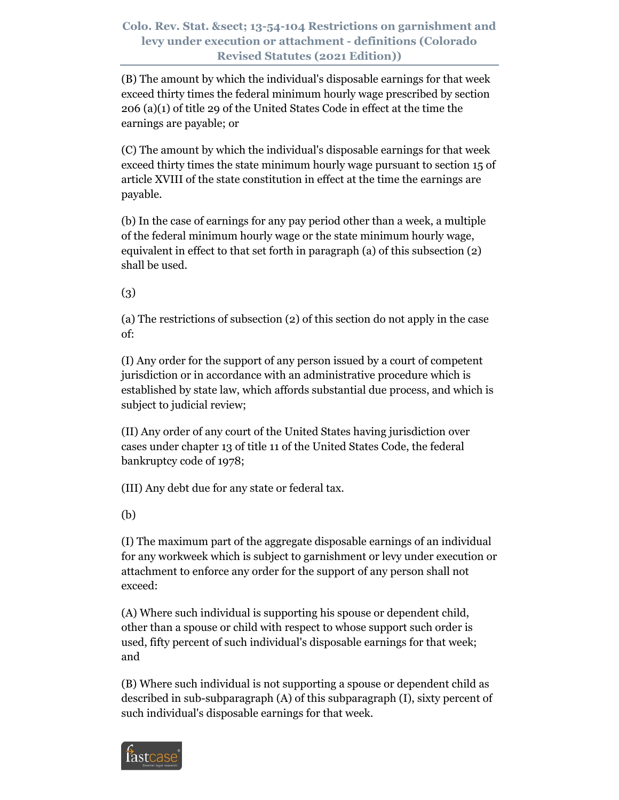(B) The amount by which the individual's disposable earnings for that week exceed thirty times the federal minimum hourly wage prescribed by section 206 (a)(1) of title 29 of the United States Code in effect at the time the earnings are payable; or

(C) The amount by which the individual's disposable earnings for that week exceed thirty times the state minimum hourly wage pursuant to section 15 of article XVIII of the state constitution in effect at the time the earnings are payable.

(b) In the case of earnings for any pay period other than a week, a multiple of the federal minimum hourly wage or the state minimum hourly wage, equivalent in effect to that set forth in paragraph (a) of this subsection (2) shall be used.

(3)

(a) The restrictions of subsection (2) of this section do not apply in the case of:

(I) Any order for the support of any person issued by a court of competent jurisdiction or in accordance with an administrative procedure which is established by state law, which affords substantial due process, and which is subject to judicial review;

(II) Any order of any court of the United States having jurisdiction over cases under chapter 13 of title 11 of the United States Code, the federal bankruptcy code of 1978;

(III) Any debt due for any state or federal tax.

(b)

(I) The maximum part of the aggregate disposable earnings of an individual for any workweek which is subject to garnishment or levy under execution or attachment to enforce any order for the support of any person shall not exceed:

(A) Where such individual is supporting his spouse or dependent child, other than a spouse or child with respect to whose support such order is used, fifty percent of such individual's disposable earnings for that week; and

(B) Where such individual is not supporting a spouse or dependent child as described in sub-subparagraph (A) of this subparagraph (I), sixty percent of such individual's disposable earnings for that week.

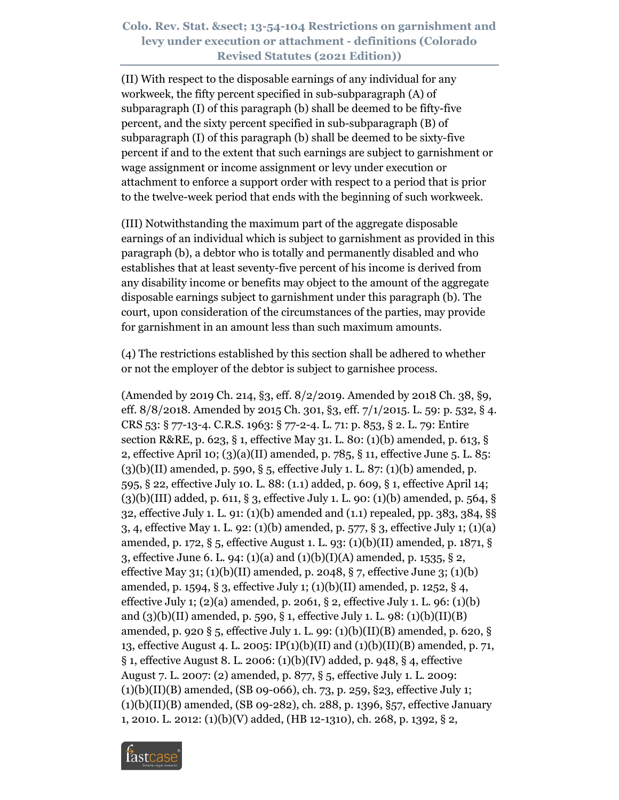(II) With respect to the disposable earnings of any individual for any workweek, the fifty percent specified in sub-subparagraph (A) of subparagraph (I) of this paragraph (b) shall be deemed to be fifty-five percent, and the sixty percent specified in sub-subparagraph (B) of subparagraph (I) of this paragraph (b) shall be deemed to be sixty-five percent if and to the extent that such earnings are subject to garnishment or wage assignment or income assignment or levy under execution or attachment to enforce a support order with respect to a period that is prior to the twelve-week period that ends with the beginning of such workweek.

(III) Notwithstanding the maximum part of the aggregate disposable earnings of an individual which is subject to garnishment as provided in this paragraph (b), a debtor who is totally and permanently disabled and who establishes that at least seventy-five percent of his income is derived from any disability income or benefits may object to the amount of the aggregate disposable earnings subject to garnishment under this paragraph (b). The court, upon consideration of the circumstances of the parties, may provide for garnishment in an amount less than such maximum amounts.

(4) The restrictions established by this section shall be adhered to whether or not the employer of the debtor is subject to garnishee process.

(Amended by 2019 Ch. 214, §3, eff. 8/2/2019. Amended by 2018 Ch. 38, §9, eff. 8/8/2018. Amended by 2015 Ch. 301, §3, eff. 7/1/2015. L. 59: p. 532, § 4. CRS 53: § 77-13-4. C.R.S. 1963: § 77-2-4. L. 71: p. 853, § 2. L. 79: Entire section R&RE, p. 623, § 1, effective May 31. L. 80: (1)(b) amended, p. 613, § 2, effective April 10; (3)(a)(II) amended, p. 785, § 11, effective June 5. L. 85:  $(3)(b)(II)$  amended, p. 590, § 5, effective July 1. L. 87:  $(1)(b)$  amended, p. 595, § 22, effective July 10. L. 88: (1.1) added, p. 609, § 1, effective April 14; (3)(b)(III) added, p. 611, § 3, effective July 1. L. 90: (1)(b) amended, p. 564, § 32, effective July 1. L. 91: (1)(b) amended and (1.1) repealed, pp. 383, 384, §§ 3, 4, effective May 1. L. 92: (1)(b) amended, p. 577, § 3, effective July 1; (1)(a) amended, p. 172, § 5, effective August 1. L. 93: (1)(b)(II) amended, p. 1871, § 3, effective June 6. L. 94: (1)(a) and (1)(b)(I)(A) amended, p. 1535, § 2, effective May 31; (1)(b)(II) amended, p. 2048,  $\S$  7, effective June 3; (1)(b) amended, p. 1594, § 3, effective July 1; (1)(b)(II) amended, p. 1252, § 4, effective July 1;  $(2)(a)$  amended, p. 2061, § 2, effective July 1. L. 96:  $(1)(b)$ and (3)(b)(II) amended, p. 590, § 1, effective July 1. L. 98: (1)(b)(II)(B) amended, p. 920 § 5, effective July 1. L. 99: (1)(b)(II)(B) amended, p. 620, § 13, effective August 4. L. 2005: IP(1)(b)(II) and (1)(b)(II)(B) amended, p. 71, § 1, effective August 8. L. 2006: (1)(b)(IV) added, p. 948, § 4, effective August 7. L. 2007: (2) amended, p. 877, § 5, effective July 1. L. 2009: (1)(b)(II)(B) amended, (SB 09-066), ch. 73, p. 259, §23, effective July 1; (1)(b)(II)(B) amended, (SB 09-282), ch. 288, p. 1396, §57, effective January 1, 2010. L. 2012: (1)(b)(V) added, (HB 12-1310), ch. 268, p. 1392, § 2,

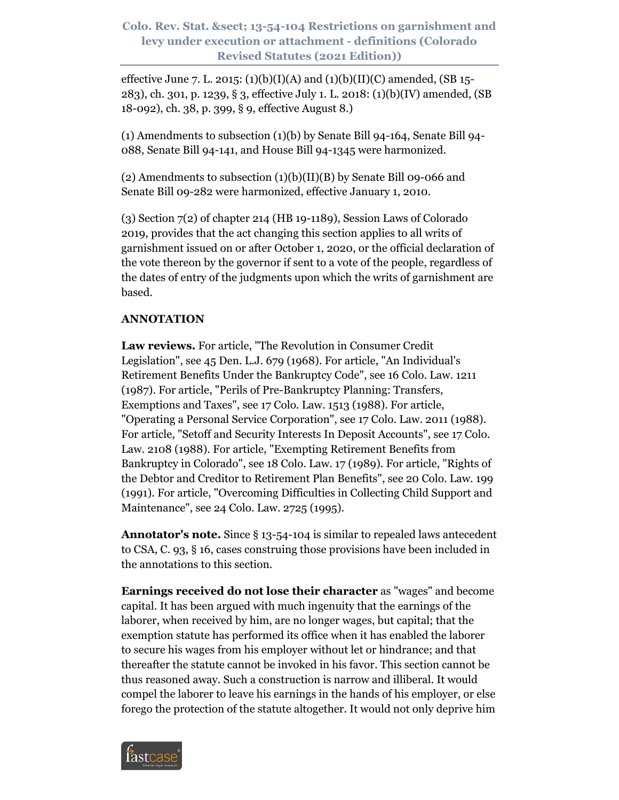effective June 7. L. 2015: (1)(b)(I)(A) and (1)(b)(II)(C) amended, (SB 15-283), ch. 301, p. 1239, § 3, effective July 1. L. 2018: (1)(b)(IV) amended, (SB 18-092), ch. 38, p. 399, § 9, effective August 8.)

(1) Amendments to subsection (1)(b) by Senate Bill 94-164, Senate Bill 94- 088, Senate Bill 94-141, and House Bill 94-1345 were harmonized.

(2) Amendments to subsection (1)(b)(II)(B) by Senate Bill 09-066 and Senate Bill 09-282 were harmonized, effective January 1, 2010.

(3) Section 7(2) of chapter 214 (HB 19-1189), Session Laws of Colorado 2019, provides that the act changing this section applies to all writs of garnishment issued on or after October 1, 2020, or the official declaration of the vote thereon by the governor if sent to a vote of the people, regardless of the dates of entry of the judgments upon which the writs of garnishment are based.

# **ANNOTATION**

**Law reviews.** For article, "The Revolution in Consumer Credit Legislation", see 45 Den. L.J. 679 (1968). For article, "An Individual's Retirement Benefits Under the Bankruptcy Code", see 16 Colo. Law. 1211 (1987). For article, "Perils of Pre-Bankruptcy Planning: Transfers, Exemptions and Taxes", see 17 Colo. Law. 1513 (1988). For article, "Operating a Personal Service Corporation", see 17 Colo. Law. 2011 (1988). For article, "Setoff and Security Interests In Deposit Accounts", see 17 Colo. Law. 2108 (1988). For article, "Exempting Retirement Benefits from Bankruptcy in Colorado", see 18 Colo. Law. 17 (1989). For article, "Rights of the Debtor and Creditor to Retirement Plan Benefits", see 20 Colo. Law. 199 (1991). For article, "Overcoming Difficulties in Collecting Child Support and Maintenance", see 24 Colo. Law. 2725 (1995).

**Annotator's note.** Since § 13-54-104 is similar to repealed laws antecedent to CSA, C. 93, § 16, cases construing those provisions have been included in the annotations to this section.

**Earnings received do not lose their character** as "wages" and become capital. It has been argued with much ingenuity that the earnings of the laborer, when received by him, are no longer wages, but capital; that the exemption statute has performed its office when it has enabled the laborer to secure his wages from his employer without let or hindrance; and that thereafter the statute cannot be invoked in his favor. This section cannot be thus reasoned away. Such a construction is narrow and illiberal. It would compel the laborer to leave his earnings in the hands of his employer, or else forego the protection of the statute altogether. It would not only deprive him

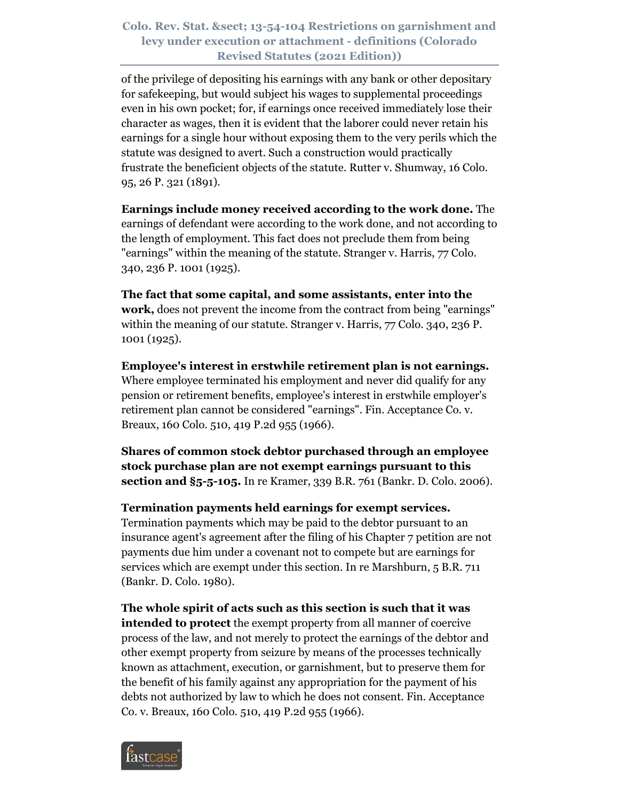of the privilege of depositing his earnings with any bank or other depositary for safekeeping, but would subject his wages to supplemental proceedings even in his own pocket; for, if earnings once received immediately lose their character as wages, then it is evident that the laborer could never retain his earnings for a single hour without exposing them to the very perils which the statute was designed to avert. Such a construction would practically frustrate the beneficient objects of the statute. Rutter v. Shumway, 16 Colo. 95, 26 P. 321 (1891).

**Earnings include money received according to the work done.** The earnings of defendant were according to the work done, and not according to the length of employment. This fact does not preclude them from being "earnings" within the meaning of the statute. Stranger v. Harris, 77 Colo. 340, 236 P. 1001 (1925).

**The fact that some capital, and some assistants, enter into the work,** does not prevent the income from the contract from being "earnings" within the meaning of our statute. Stranger v. Harris, 77 Colo. 340, 236 P. 1001 (1925).

**Employee's interest in erstwhile retirement plan is not earnings.** Where employee terminated his employment and never did qualify for any pension or retirement benefits, employee's interest in erstwhile employer's retirement plan cannot be considered "earnings". Fin. Acceptance Co. v. Breaux, 160 Colo. 510, 419 P.2d 955 (1966).

**Shares of common stock debtor purchased through an employee stock purchase plan are not exempt earnings pursuant to this section and §5-5-105.** In re Kramer, 339 B.R. 761 (Bankr. D. Colo. 2006).

#### **Termination payments held earnings for exempt services.**

Termination payments which may be paid to the debtor pursuant to an insurance agent's agreement after the filing of his Chapter 7 petition are not payments due him under a covenant not to compete but are earnings for services which are exempt under this section. In re Marshburn, 5 B.R. 711 (Bankr. D. Colo. 1980).

**The whole spirit of acts such as this section is such that it was intended to protect** the exempt property from all manner of coercive process of the law, and not merely to protect the earnings of the debtor and other exempt property from seizure by means of the processes technically known as attachment, execution, or garnishment, but to preserve them for the benefit of his family against any appropriation for the payment of his debts not authorized by law to which he does not consent. Fin. Acceptance Co. v. Breaux, 160 Colo. 510, 419 P.2d 955 (1966).

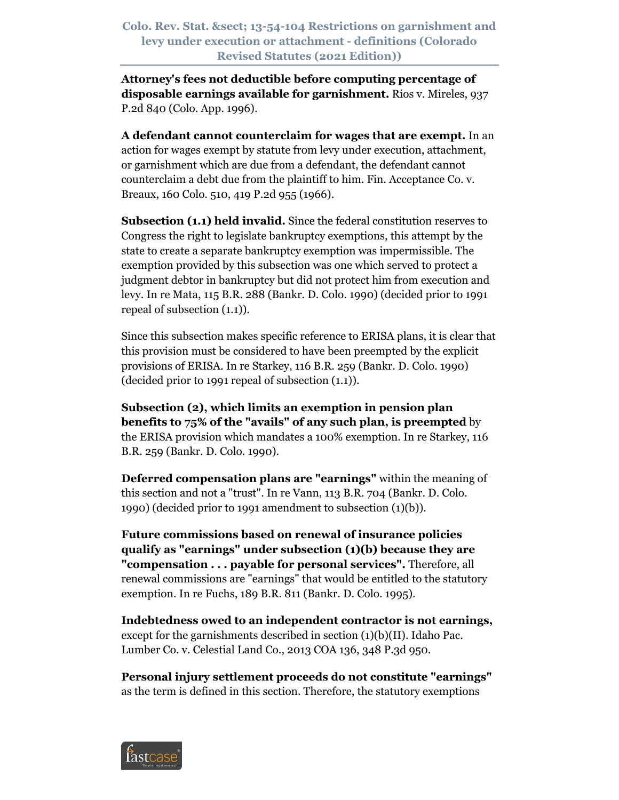**Attorney's fees not deductible before computing percentage of disposable earnings available for garnishment.** Rios v. Mireles, 937 P.2d 840 (Colo. App. 1996).

**A defendant cannot counterclaim for wages that are exempt.** In an action for wages exempt by statute from levy under execution, attachment, or garnishment which are due from a defendant, the defendant cannot counterclaim a debt due from the plaintiff to him. Fin. Acceptance Co. v. Breaux, 160 Colo. 510, 419 P.2d 955 (1966).

**Subsection (1.1) held invalid.** Since the federal constitution reserves to Congress the right to legislate bankruptcy exemptions, this attempt by the state to create a separate bankruptcy exemption was impermissible. The exemption provided by this subsection was one which served to protect a judgment debtor in bankruptcy but did not protect him from execution and levy. In re Mata, 115 B.R. 288 (Bankr. D. Colo. 1990) (decided prior to 1991 repeal of subsection (1.1)).

Since this subsection makes specific reference to ERISA plans, it is clear that this provision must be considered to have been preempted by the explicit provisions of ERISA. In re Starkey, 116 B.R. 259 (Bankr. D. Colo. 1990) (decided prior to 1991 repeal of subsection (1.1)).

**Subsection (2), which limits an exemption in pension plan benefits to 75% of the "avails" of any such plan, is preempted** by the ERISA provision which mandates a 100% exemption. In re Starkey, 116 B.R. 259 (Bankr. D. Colo. 1990).

**Deferred compensation plans are "earnings"** within the meaning of this section and not a "trust". In re Vann, 113 B.R. 704 (Bankr. D. Colo. 1990) (decided prior to 1991 amendment to subsection (1)(b)).

**Future commissions based on renewal of insurance policies qualify as "earnings" under subsection (1)(b) because they are "compensation . . . payable for personal services".** Therefore, all renewal commissions are "earnings" that would be entitled to the statutory exemption. In re Fuchs, 189 B.R. 811 (Bankr. D. Colo. 1995).

**Indebtedness owed to an independent contractor is not earnings,** except for the garnishments described in section (1)(b)(II). Idaho Pac. Lumber Co. v. Celestial Land Co., 2013 COA 136, 348 P.3d 950.

**Personal injury settlement proceeds do not constitute "earnings"** as the term is defined in this section. Therefore, the statutory exemptions

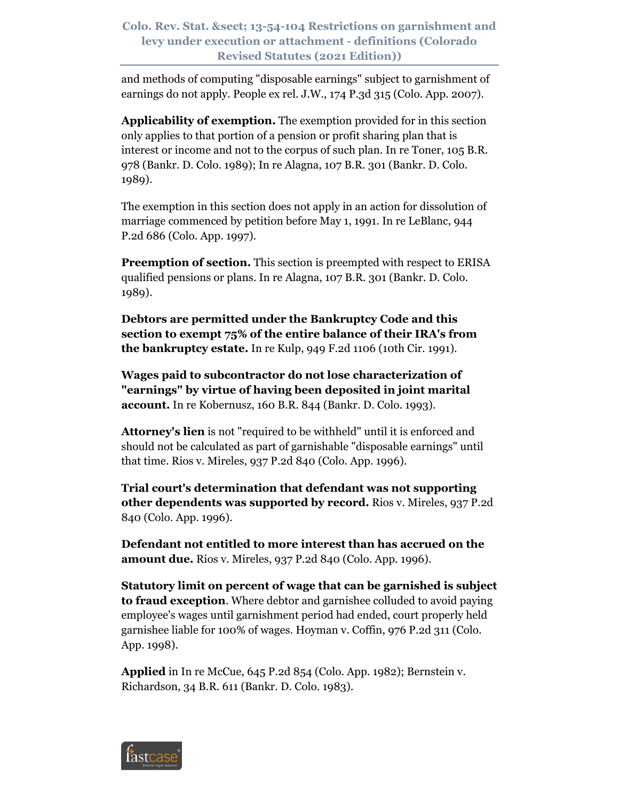and methods of computing "disposable earnings" subject to garnishment of earnings do not apply. People ex rel. J.W., 174 P.3d 315 (Colo. App. 2007).

**Applicability of exemption.** The exemption provided for in this section only applies to that portion of a pension or profit sharing plan that is interest or income and not to the corpus of such plan. In re Toner, 105 B.R. 978 (Bankr. D. Colo. 1989); In re Alagna, 107 B.R. 301 (Bankr. D. Colo. 1989).

The exemption in this section does not apply in an action for dissolution of marriage commenced by petition before May 1, 1991. In re LeBlanc, 944 P.2d 686 (Colo. App. 1997).

**Preemption of section.** This section is preempted with respect to ERISA qualified pensions or plans. In re Alagna, 107 B.R. 301 (Bankr. D. Colo. 1989).

**Debtors are permitted under the Bankruptcy Code and this section to exempt 75% of the entire balance of their IRA's from the bankruptcy estate.** In re Kulp, 949 F.2d 1106 (10th Cir. 1991).

**Wages paid to subcontractor do not lose characterization of "earnings" by virtue of having been deposited in joint marital account.** In re Kobernusz, 160 B.R. 844 (Bankr. D. Colo. 1993).

**Attorney's lien** is not "required to be withheld" until it is enforced and should not be calculated as part of garnishable "disposable earnings" until that time. Rios v. Mireles, 937 P.2d 840 (Colo. App. 1996).

**Trial court's determination that defendant was not supporting other dependents was supported by record.** Rios v. Mireles, 937 P.2d 840 (Colo. App. 1996).

**Defendant not entitled to more interest than has accrued on the amount due.** Rios v. Mireles, 937 P.2d 840 (Colo. App. 1996).

**Statutory limit on percent of wage that can be garnished is subject to fraud exception**. Where debtor and garnishee colluded to avoid paying employee's wages until garnishment period had ended, court properly held garnishee liable for 100% of wages. Hoyman v. Coffin, 976 P.2d 311 (Colo. App. 1998).

**Applied** in In re McCue, 645 P.2d 854 (Colo. App. 1982); Bernstein v. Richardson, 34 B.R. 611 (Bankr. D. Colo. 1983).

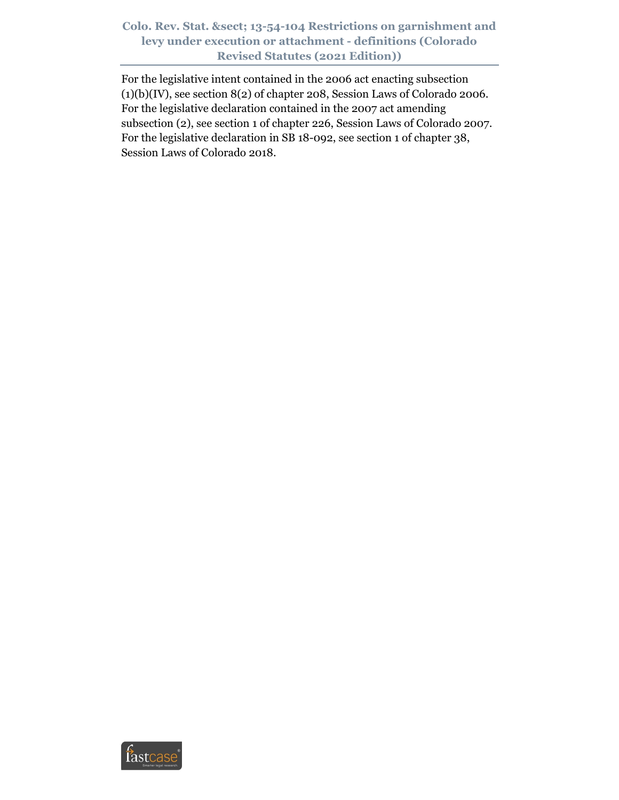For the legislative intent contained in the 2006 act enacting subsection  $(1)(b)(IV)$ , see section  $8(2)$  of chapter 208, Session Laws of Colorado 2006. For the legislative declaration contained in the 2007 act amending subsection (2), see section 1 of chapter 226, Session Laws of Colorado 2007. For the legislative declaration in SB 18-092, see section 1 of chapter 38, Session Laws of Colorado 2018.

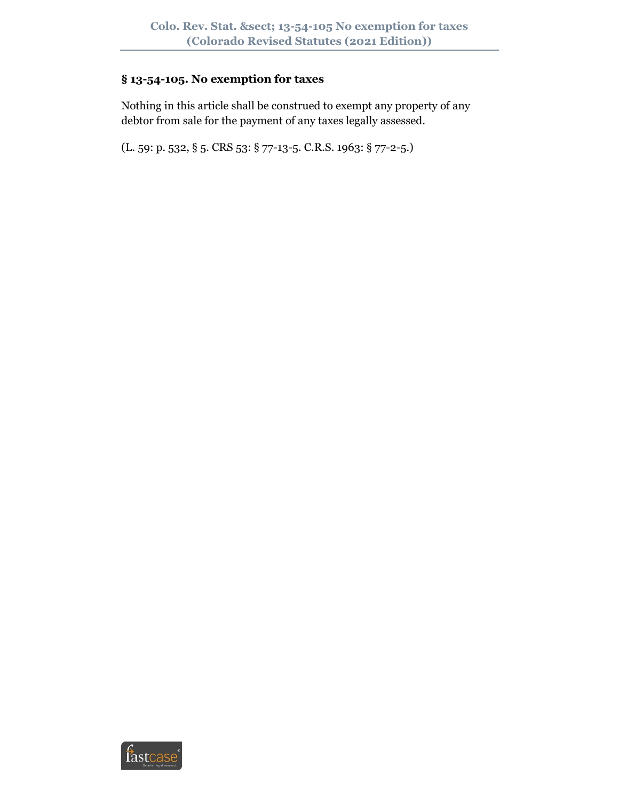# **§ 13-54-105. No exemption for taxes**

Nothing in this article shall be construed to exempt any property of any debtor from sale for the payment of any taxes legally assessed.

(L. 59: p. 532, § 5. CRS 53: § 77-13-5. C.R.S. 1963: § 77-2-5.)

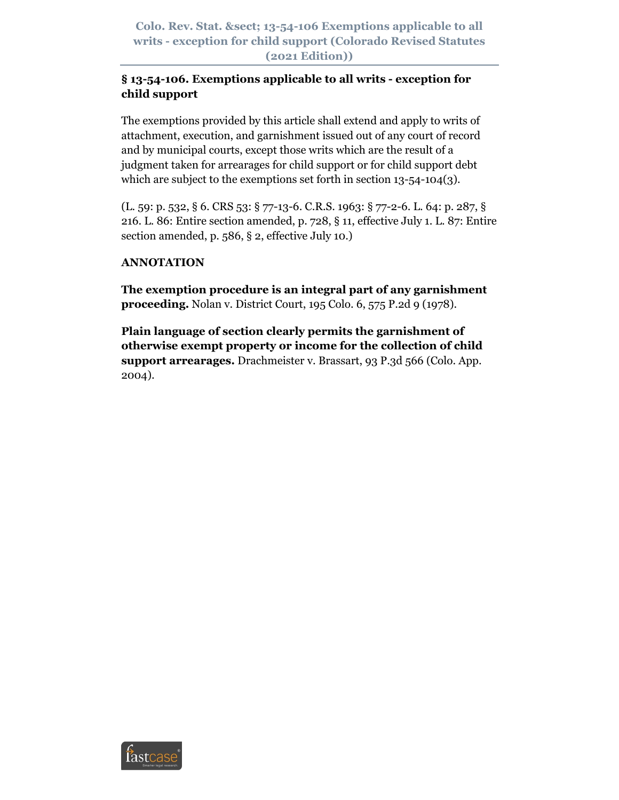**Colo. Rev. Stat. § 13-54-106 Exemptions applicable to all writs - exception for child support (Colorado Revised Statutes (2021 Edition))**

# **§ 13-54-106. Exemptions applicable to all writs - exception for child support**

The exemptions provided by this article shall extend and apply to writs of attachment, execution, and garnishment issued out of any court of record and by municipal courts, except those writs which are the result of a judgment taken for arrearages for child support or for child support debt which are subject to the exemptions set forth in section 13-54-104(3).

(L. 59: p. 532, § 6. CRS 53: § 77-13-6. C.R.S. 1963: § 77-2-6. L. 64: p. 287, § 216. L. 86: Entire section amended, p. 728, § 11, effective July 1. L. 87: Entire section amended, p. 586, § 2, effective July 10.)

# **ANNOTATION**

**The exemption procedure is an integral part of any garnishment proceeding.** Nolan v. District Court, 195 Colo. 6, 575 P.2d 9 (1978).

**Plain language of section clearly permits the garnishment of otherwise exempt property or income for the collection of child support arrearages.** Drachmeister v. Brassart, 93 P.3d 566 (Colo. App. 2004).

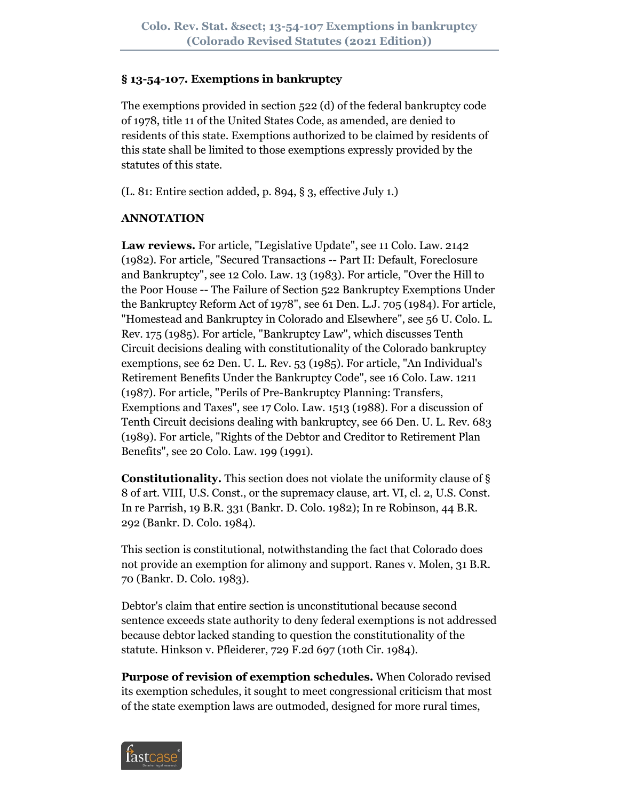#### **§ 13-54-107. Exemptions in bankruptcy**

The exemptions provided in section 522 (d) of the federal bankruptcy code of 1978, title 11 of the United States Code, as amended, are denied to residents of this state. Exemptions authorized to be claimed by residents of this state shall be limited to those exemptions expressly provided by the statutes of this state.

(L. 81: Entire section added, p. 894, § 3, effective July 1.)

#### **ANNOTATION**

**Law reviews.** For article, "Legislative Update", see 11 Colo. Law. 2142 (1982). For article, "Secured Transactions -- Part II: Default, Foreclosure and Bankruptcy", see 12 Colo. Law. 13 (1983). For article, "Over the Hill to the Poor House -- The Failure of Section 522 Bankruptcy Exemptions Under the Bankruptcy Reform Act of 1978", see 61 Den. L.J. 705 (1984). For article, "Homestead and Bankruptcy in Colorado and Elsewhere", see 56 U. Colo. L. Rev. 175 (1985). For article, "Bankruptcy Law", which discusses Tenth Circuit decisions dealing with constitutionality of the Colorado bankruptcy exemptions, see 62 Den. U. L. Rev. 53 (1985). For article, "An Individual's Retirement Benefits Under the Bankruptcy Code", see 16 Colo. Law. 1211 (1987). For article, "Perils of Pre-Bankruptcy Planning: Transfers, Exemptions and Taxes", see 17 Colo. Law. 1513 (1988). For a discussion of Tenth Circuit decisions dealing with bankruptcy, see 66 Den. U. L. Rev. 683 (1989). For article, "Rights of the Debtor and Creditor to Retirement Plan Benefits", see 20 Colo. Law. 199 (1991).

**Constitutionality.** This section does not violate the uniformity clause of § 8 of art. VIII, U.S. Const., or the supremacy clause, art. VI, cl. 2, U.S. Const. In re Parrish, 19 B.R. 331 (Bankr. D. Colo. 1982); In re Robinson, 44 B.R. 292 (Bankr. D. Colo. 1984).

This section is constitutional, notwithstanding the fact that Colorado does not provide an exemption for alimony and support. Ranes v. Molen, 31 B.R. 70 (Bankr. D. Colo. 1983).

Debtor's claim that entire section is unconstitutional because second sentence exceeds state authority to deny federal exemptions is not addressed because debtor lacked standing to question the constitutionality of the statute. Hinkson v. Pfleiderer, 729 F.2d 697 (10th Cir. 1984).

**Purpose of revision of exemption schedules.** When Colorado revised its exemption schedules, it sought to meet congressional criticism that most of the state exemption laws are outmoded, designed for more rural times,

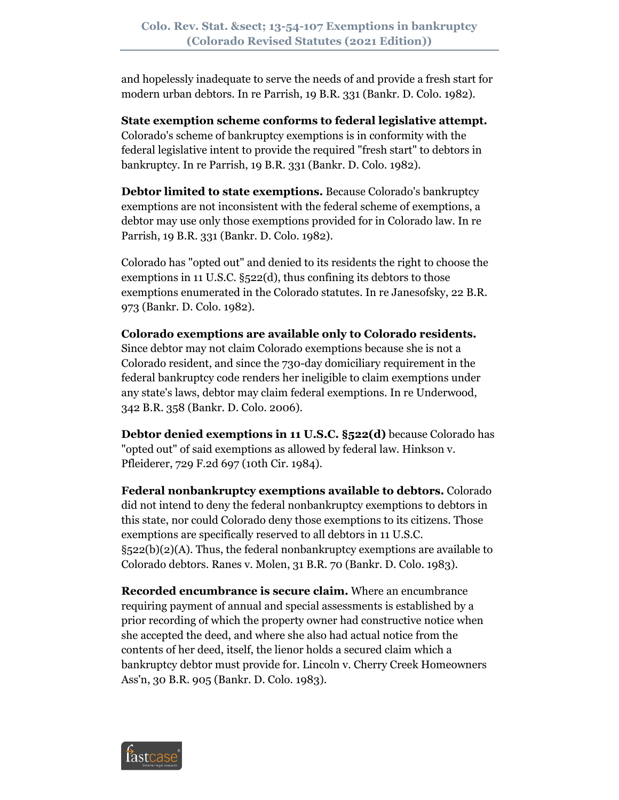and hopelessly inadequate to serve the needs of and provide a fresh start for modern urban debtors. In re Parrish, 19 B.R. 331 (Bankr. D. Colo. 1982).

**State exemption scheme conforms to federal legislative attempt.** Colorado's scheme of bankruptcy exemptions is in conformity with the federal legislative intent to provide the required "fresh start" to debtors in bankruptcy. In re Parrish, 19 B.R. 331 (Bankr. D. Colo. 1982).

**Debtor limited to state exemptions.** Because Colorado's bankruptcy exemptions are not inconsistent with the federal scheme of exemptions, a debtor may use only those exemptions provided for in Colorado law. In re Parrish, 19 B.R. 331 (Bankr. D. Colo. 1982).

Colorado has "opted out" and denied to its residents the right to choose the exemptions in 11 U.S.C. §522(d), thus confining its debtors to those exemptions enumerated in the Colorado statutes. In re Janesofsky, 22 B.R. 973 (Bankr. D. Colo. 1982).

**Colorado exemptions are available only to Colorado residents.** Since debtor may not claim Colorado exemptions because she is not a Colorado resident, and since the 730-day domiciliary requirement in the federal bankruptcy code renders her ineligible to claim exemptions under any state's laws, debtor may claim federal exemptions. In re Underwood, 342 B.R. 358 (Bankr. D. Colo. 2006).

**Debtor denied exemptions in 11 U.S.C. §522(d)** because Colorado has "opted out" of said exemptions as allowed by federal law. Hinkson v. Pfleiderer, 729 F.2d 697 (10th Cir. 1984).

**Federal nonbankruptcy exemptions available to debtors.** Colorado did not intend to deny the federal nonbankruptcy exemptions to debtors in this state, nor could Colorado deny those exemptions to its citizens. Those exemptions are specifically reserved to all debtors in 11 U.S.C.  $\S$ 522(b)(2)(A). Thus, the federal nonbankruptcy exemptions are available to Colorado debtors. Ranes v. Molen, 31 B.R. 70 (Bankr. D. Colo. 1983).

**Recorded encumbrance is secure claim.** Where an encumbrance requiring payment of annual and special assessments is established by a prior recording of which the property owner had constructive notice when she accepted the deed, and where she also had actual notice from the contents of her deed, itself, the lienor holds a secured claim which a bankruptcy debtor must provide for. Lincoln v. Cherry Creek Homeowners Ass'n, 30 B.R. 905 (Bankr. D. Colo. 1983).